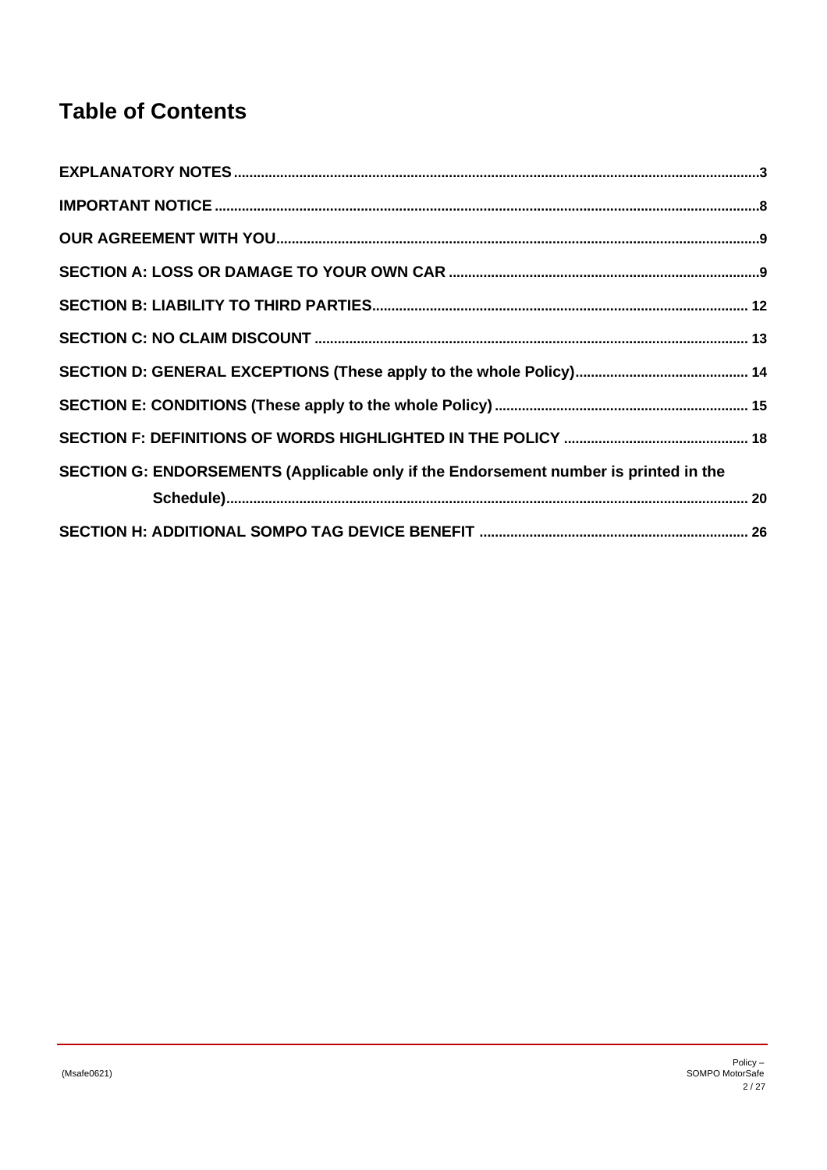# **Table of Contents**

| SECTION G: ENDORSEMENTS (Applicable only if the Endorsement number is printed in the |  |
|--------------------------------------------------------------------------------------|--|
|                                                                                      |  |
|                                                                                      |  |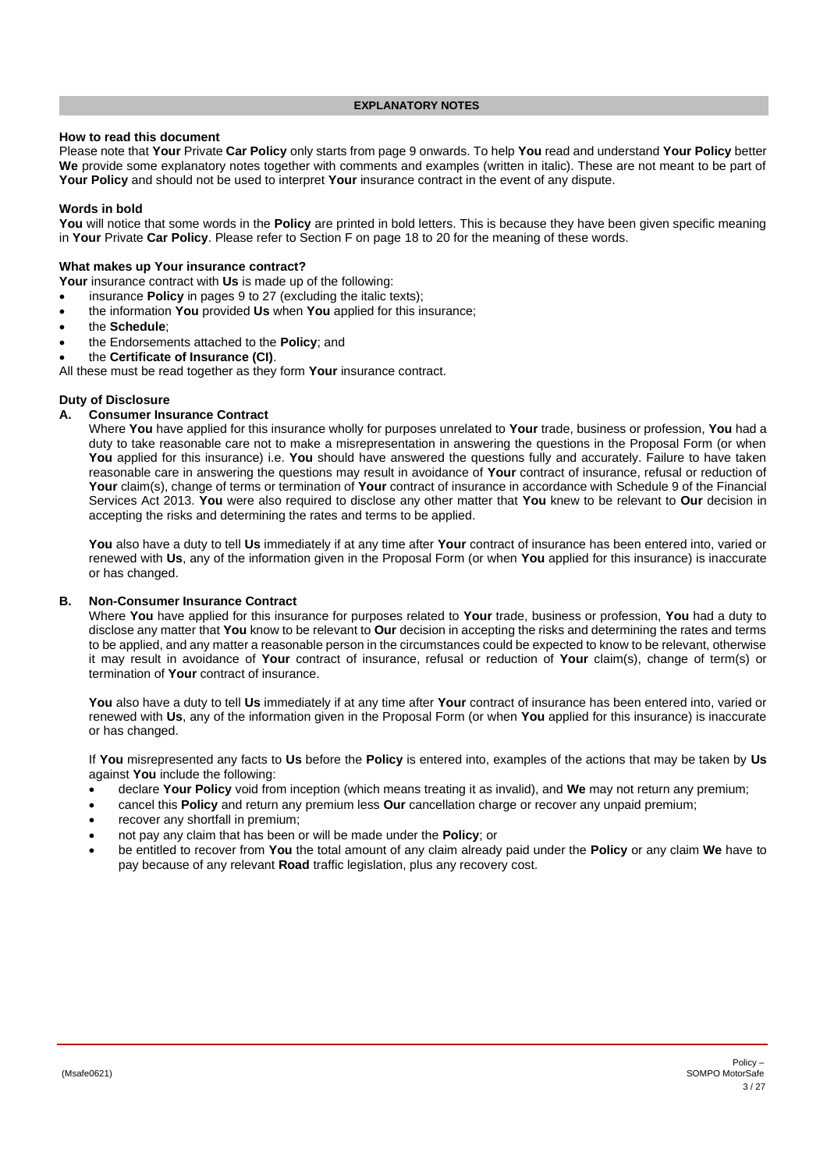#### **EXPLANATORY NOTES**

### <span id="page-2-0"></span>**How to read this document**

Please note that **Your** Private **Car Policy** only starts from pag[e 9](#page-8-0) onwards. To help **You** read and understand **Your Policy** better **We** provide some explanatory notes together with comments and examples (written in italic). These are not meant to be part of **Your Policy** and should not be used to interpret **Your** insurance contract in the event of any dispute.

### **Words in bold**

You will notice that some words in the **Policy** are printed in bold letters. This is because they have been given specific meaning in **Your** Private **Car Policy**. Please refer to Section F on page [18](#page-17-0) t[o 20](#page-19-1) for the meaning of these words.

#### **What makes up Your insurance contract?**

**Your** insurance contract with **Us** is made up of the following:

- insurance **Policy** in pages [9](#page-8-0) to 27 (excluding the italic texts);
- the information **You** provided **Us** when **You** applied for this insurance;
- the **Schedule**;
- the Endorsements attached to the **Policy**; and
- the **Certificate of Insurance (CI)**.

All these must be read together as they form **Your** insurance contract.

#### **Duty of Disclosure**

### **A. Consumer Insurance Contract**

Where **You** have applied for this insurance wholly for purposes unrelated to **Your** trade, business or profession, **You** had a duty to take reasonable care not to make a misrepresentation in answering the questions in the Proposal Form (or when **You** applied for this insurance) i.e. **You** should have answered the questions fully and accurately. Failure to have taken reasonable care in answering the questions may result in avoidance of **Your** contract of insurance, refusal or reduction of **Your** claim(s), change of terms or termination of **Your** contract of insurance in accordance with Schedule 9 of the Financial Services Act 2013. **You** were also required to disclose any other matter that **You** knew to be relevant to **Our** decision in accepting the risks and determining the rates and terms to be applied.

**You** also have a duty to tell **Us** immediately if at any time after **Your** contract of insurance has been entered into, varied or renewed with **Us**, any of the information given in the Proposal Form (or when **You** applied for this insurance) is inaccurate or has changed.

### **B. Non-Consumer Insurance Contract**

Where **You** have applied for this insurance for purposes related to **Your** trade, business or profession, **You** had a duty to disclose any matter that **You** know to be relevant to **Our** decision in accepting the risks and determining the rates and terms to be applied, and any matter a reasonable person in the circumstances could be expected to know to be relevant, otherwise it may result in avoidance of **Your** contract of insurance, refusal or reduction of **Your** claim(s), change of term(s) or termination of **Your** contract of insurance.

**You** also have a duty to tell **Us** immediately if at any time after **Your** contract of insurance has been entered into, varied or renewed with **Us**, any of the information given in the Proposal Form (or when **You** applied for this insurance) is inaccurate or has changed.

If **You** misrepresented any facts to **Us** before the **Policy** is entered into, examples of the actions that may be taken by **Us** against **You** include the following:

- declare **Your Policy** void from inception (which means treating it as invalid), and **We** may not return any premium;
- cancel this **Policy** and return any premium less **Our** cancellation charge or recover any unpaid premium;
- recover any shortfall in premium;
- not pay any claim that has been or will be made under the **Policy**; or
- be entitled to recover from **You** the total amount of any claim already paid under the **Policy** or any claim **We** have to pay because of any relevant **Road** traffic legislation, plus any recovery cost.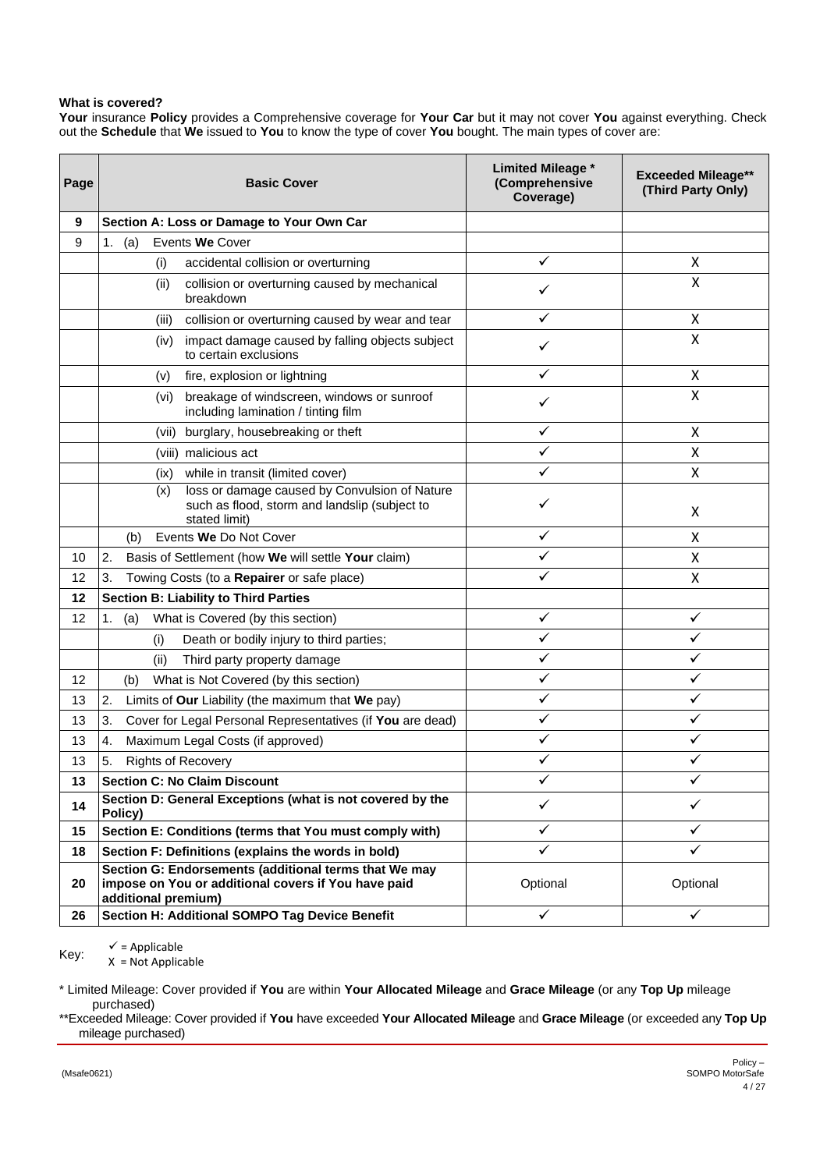# **What is covered?**

**Your** insurance **Policy** provides a Comprehensive coverage for **Your Car** but it may not cover **You** against everything. Check out the **Schedule** that **We** issued to **You** to know the type of cover **You** bought. The main types of cover are:

| Page | <b>Basic Cover</b>                                                                                                                  | <b>Limited Mileage *</b><br>(Comprehensive<br>Coverage) | <b>Exceeded Mileage**</b><br>(Third Party Only) |
|------|-------------------------------------------------------------------------------------------------------------------------------------|---------------------------------------------------------|-------------------------------------------------|
| 9    | Section A: Loss or Damage to Your Own Car                                                                                           |                                                         |                                                 |
| 9    | (a)<br>Events We Cover<br>1.                                                                                                        |                                                         |                                                 |
|      | (i)<br>accidental collision or overturning                                                                                          | ✓                                                       | X                                               |
|      | (ii)<br>collision or overturning caused by mechanical<br>breakdown                                                                  |                                                         | X                                               |
|      | collision or overturning caused by wear and tear<br>(iii)                                                                           | ✓                                                       | X                                               |
|      | impact damage caused by falling objects subject<br>(iv)<br>to certain exclusions                                                    | ✓                                                       | Χ                                               |
|      | (v)<br>fire, explosion or lightning                                                                                                 | ✓                                                       | Χ                                               |
|      | breakage of windscreen, windows or sunroof<br>(vi)<br>including lamination / tinting film                                           | ✓                                                       | X                                               |
|      | burglary, housebreaking or theft<br>(vii)                                                                                           | ✓                                                       | X                                               |
|      | (viii) malicious act                                                                                                                | ✓                                                       | X                                               |
|      | (ix) while in transit (limited cover)                                                                                               | ✓                                                       | X                                               |
|      | loss or damage caused by Convulsion of Nature<br>(x)<br>such as flood, storm and landslip (subject to<br>stated limit)              | ✓                                                       | X                                               |
|      | Events We Do Not Cover<br>(b)                                                                                                       | $\checkmark$                                            | X                                               |
| 10   | 2.<br>Basis of Settlement (how We will settle Your claim)                                                                           | ✓                                                       | X                                               |
| 12   | 3.<br>Towing Costs (to a Repairer or safe place)                                                                                    |                                                         | X                                               |
| 12   | <b>Section B: Liability to Third Parties</b>                                                                                        |                                                         |                                                 |
| 12   | What is Covered (by this section)<br>1.<br>(a)                                                                                      | $\checkmark$                                            | ✓                                               |
|      | Death or bodily injury to third parties;<br>(i)                                                                                     | ✓                                                       | ✓                                               |
|      | (ii)<br>Third party property damage                                                                                                 | ✓                                                       | ✓                                               |
| 12   | What is Not Covered (by this section)<br>(b)                                                                                        | ✓                                                       | ✓                                               |
| 13   | 2.<br>Limits of Our Liability (the maximum that We pay)                                                                             | $\checkmark$                                            | ✓                                               |
| 13   | 3.<br>Cover for Legal Personal Representatives (if You are dead)                                                                    | ✓                                                       | ✓                                               |
| 13   | Maximum Legal Costs (if approved)<br>4.                                                                                             | ✓                                                       | ✓                                               |
| 13   | 5.<br><b>Rights of Recovery</b>                                                                                                     |                                                         |                                                 |
| 13   | <b>Section C: No Claim Discount</b>                                                                                                 | ✓                                                       | ✓                                               |
| 14   | Section D: General Exceptions (what is not covered by the<br>Policy)                                                                | ✓                                                       | ✓                                               |
| 15   | Section E: Conditions (terms that You must comply with)                                                                             | ✓                                                       | ✓                                               |
| 18   | Section F: Definitions (explains the words in bold)                                                                                 | ✓                                                       | ✓                                               |
| 20   | Section G: Endorsements (additional terms that We may<br>impose on You or additional covers if You have paid<br>additional premium) | Optional                                                | Optional                                        |
| 26   | Section H: Additional SOMPO Tag Device Benefit                                                                                      | $\checkmark$                                            | ✓                                               |

 $\checkmark$  = Applicable

Key: X = Not Applicable

\* Limited Mileage: Cover provided if **You** are within **Your Allocated Mileage** and **Grace Mileage** (or any **Top Up** mileage purchased)

\*\*Exceeded Mileage: Cover provided if **You** have exceeded **Your Allocated Mileage** and **Grace Mileage** (or exceeded any **Top Up** mileage purchased)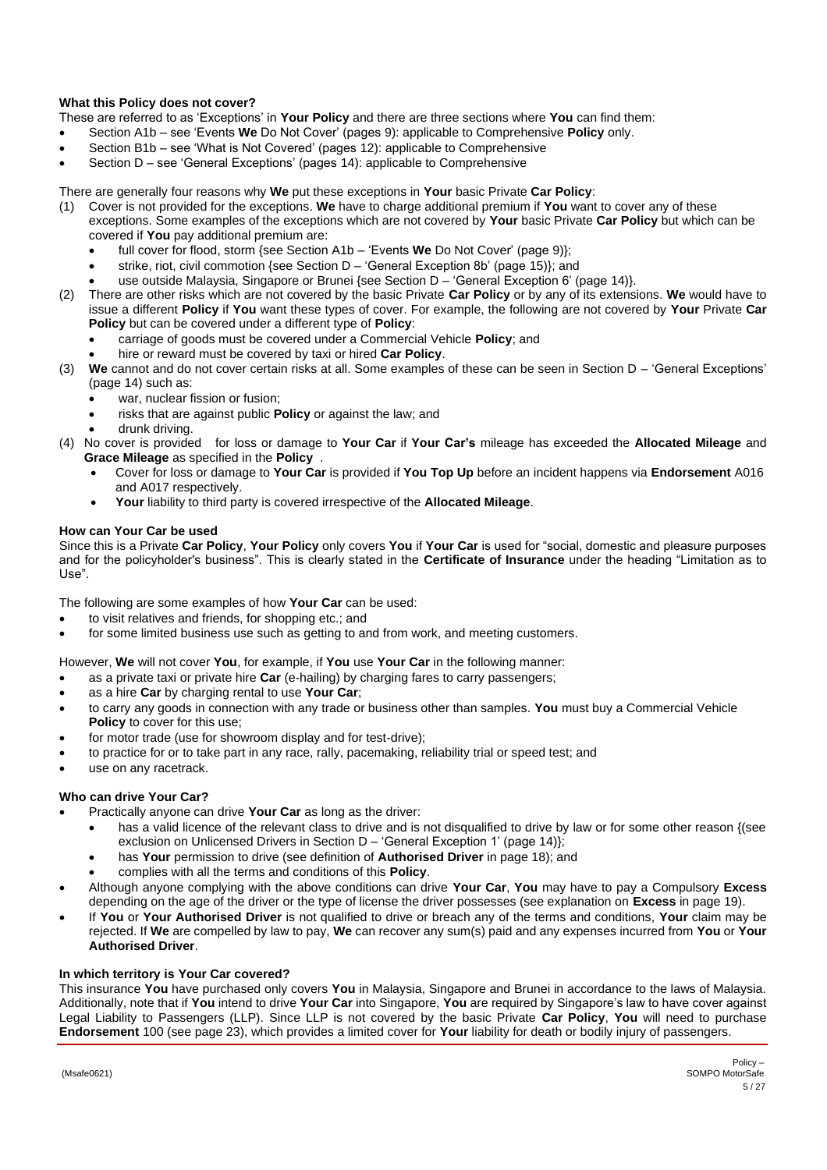# **What this Policy does not cover?**

- These are referred to as 'Exceptions' in **Your Policy** and there are three sections where **You** can find them:
- Section A1b see 'Events **We** Do Not Cover' (page[s 9\)](#page-8-3): applicable to Comprehensive **Policy** only.
- Section B1b see 'What is Not Covered' (pages [12\)](#page-11-3): applicable to Comprehensive
- Section D see 'General Exceptions' (pages [14\)](#page-13-0): applicable to Comprehensive

There are generally four reasons why **We** put these exceptions in **Your** basic Private **Car Policy**:

- (1) Cover is not provided for the exceptions. **We** have to charge additional premium if **You** want to cover any of these exceptions. Some examples of the exceptions which are not covered by **Your** basic Private **Car Policy** but which can be covered if **You** pay additional premium are:
	- full cover for flood, storm {see Section A1b 'Events **We** Do Not Cover' (page [9\)](#page-8-3)};
	- strike, riot, civil commotion {see Section D 'General Exception 8b' (pag[e 15\)](#page-14-1)}; and
	- use outside Malaysia, Singapore or Brunei {see Section D 'General Exception 6' (page [14\)](#page-13-1)}.
- (2) There are other risks which are not covered by the basic Private **Car Policy** or by any of its extensions. **We** would have to issue a different **Policy** if **You** want these types of cover. For example, the following are not covered by **Your** Private **Car Policy** but can be covered under a different type of **Policy**:
	- carriage of goods must be covered under a Commercial Vehicle **Policy**; and
	- hire or reward must be covered by taxi or hired **Car Policy**.
- (3) **We** cannot and do not cover certain risks at all. Some examples of these can be seen in Section D 'General Exceptions' (pag[e 14\)](#page-13-0) such as:
	- war, nuclear fission or fusion;
	- risks that are against public **Policy** or against the law; and
	- drunk driving.
- (4) No cover is provided for loss or damage to **Your Car** if **Your Car's** mileage has exceeded the **Allocated Mileage** and **Grace Mileage** as specified in the **Policy** .
	- Cover for loss or damage to **Your Car** is provided if **You Top Up** before an incident happens via **Endorsement** A016 and A017 respectively.
	- **Your** liability to third party is covered irrespective of the **Allocated Mileage**.

# **How can Your Car be used**

Since this is a Private **Car Policy**, **Your Policy** only covers **You** if **Your Car** is used for "social, domestic and pleasure purposes and for the policyholder's business". This is clearly stated in the **Certificate of Insurance** under the heading "Limitation as to Use".

The following are some examples of how **Your Car** can be used:

- to visit relatives and friends, for shopping etc.; and
- for some limited business use such as getting to and from work, and meeting customers.

However, **We** will not cover **You**, for example, if **You** use **Your Car** in the following manner:

- as a private taxi or private hire **Car** (e-hailing) by charging fares to carry passengers;
- as a hire **Car** by charging rental to use **Your Car**;
- to carry any goods in connection with any trade or business other than samples. **You** must buy a Commercial Vehicle **Policy** to cover for this use;
- for motor trade (use for showroom display and for test-drive);
- to practice for or to take part in any race, rally, pacemaking, reliability trial or speed test; and
- use on any racetrack.

# **Who can drive Your Car?**

- Practically anyone can drive **Your Car** as long as the driver:
	- has a valid licence of the relevant class to drive and is not disqualified to drive by law or for some other reason {(see exclusion on Unlicensed Drivers in Section D – 'General Exception 1' (page [14\)](#page-13-2)};
		- has **Your** permission to drive (see definition of **Authorised Driver** in pag[e 18\)](#page-17-1); and
	- complies with all the terms and conditions of this **Policy**.
- Although anyone complying with the above conditions can drive **Your Car**, **You** may have to pay a Compulsory **Excess** depending on the age of the driver or the type of license the driver possesses (see explanation on **Excess** in pag[e 19\)](#page-18-0).
- If **You** or **Your Authorised Driver** is not qualified to drive or breach any of the terms and conditions, **Your** claim may be rejected. If **We** are compelled by law to pay, **We** can recover any sum(s) paid and any expenses incurred from **You** or **Your Authorised Driver**.

### **In which territory is Your Car covered?**

This insurance **You** have purchased only covers **You** in Malaysia, Singapore and Brunei in accordance to the laws of Malaysia. Additionally, note that if **You** intend to drive **Your Car** into Singapore, **You** are required by Singapore's law to have cover against Legal Liability to Passengers (LLP). Since LLP is not covered by the basic Private **Car Policy**, **You** will need to purchase **Endorsement** 100 (see pag[e 23\)](#page-22-0), which provides a limited cover for **Your** liability for death or bodily injury of passengers.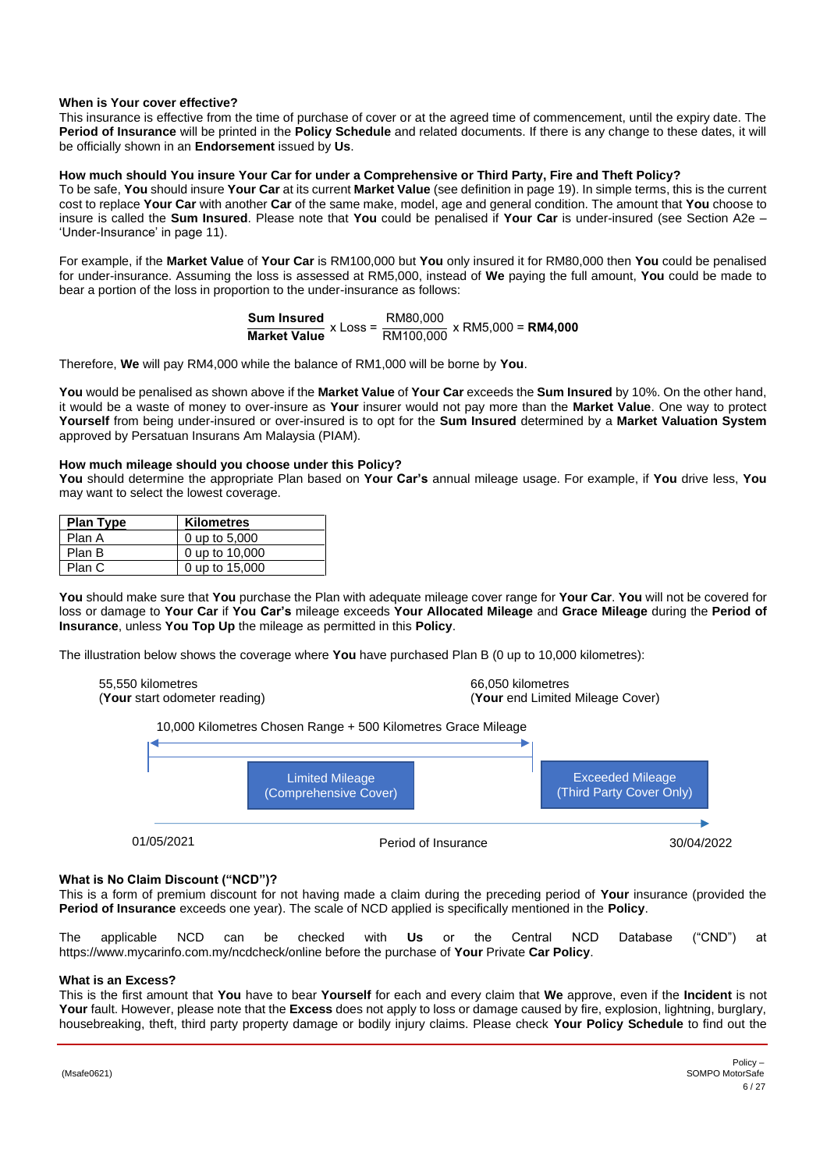# **When is Your cover effective?**

This insurance is effective from the time of purchase of cover or at the agreed time of commencement, until the expiry date. The **Period of Insurance** will be printed in the **Policy Schedule** and related documents. If there is any change to these dates, it will be officially shown in an **Endorsement** issued by **Us**.

# **How much should You insure Your Car for under a Comprehensive or Third Party, Fire and Theft Policy?**

To be safe, **You** should insure **Your Car** at its current **Market Value** (see definition in pag[e 19\)](#page-18-1). In simple terms, this is the current cost to replace **Your Car** with another **Car** of the same make, model, age and general condition. The amount that **You** choose to insure is called the **Sum Insured**. Please note that **You** could be penalised if **Your Car** is under-insured (see Section A2e – 'Under-Insurance' in page [11\)](#page-10-0).

For example, if the **Market Value** of **Your Car** is RM100,000 but **You** only insured it for RM80,000 then **You** could be penalised for under-insurance. Assuming the loss is assessed at RM5,000, instead of **We** paying the full amount, **You** could be made to bear a portion of the loss in proportion to the under-insurance as follows:

$$
\frac{\text{Sum Insured}}{\text{Market Value}} \times \text{Loss} = \frac{\text{RM80,000}}{\text{RM100,000}} \times \text{RM5,000} = \text{RM4,000}
$$

Therefore, **We** will pay RM4,000 while the balance of RM1,000 will be borne by **You**.

**You** would be penalised as shown above if the **Market Value** of **Your Car** exceeds the **Sum Insured** by 10%. On the other hand, it would be a waste of money to over-insure as **Your** insurer would not pay more than the **Market Value**. One way to protect **Yourself** from being under-insured or over-insured is to opt for the **Sum Insured** determined by a **Market Valuation System** approved by Persatuan Insurans Am Malaysia (PIAM).

### **How much mileage should you choose under this Policy?**

**You** should determine the appropriate Plan based on **Your Car's** annual mileage usage. For example, if **You** drive less, **You** may want to select the lowest coverage.

| <b>Plan Type</b> | <b>Kilometres</b> |
|------------------|-------------------|
| Plan A           | 0 up to 5,000     |
| Plan B           | 0 up to 10,000    |
| Plan C           | 0 up to 15,000    |

**You** should make sure that **You** purchase the Plan with adequate mileage cover range for **Your Car**. **You** will not be covered for loss or damage to **Your Car** if **You Car's** mileage exceeds **Your Allocated Mileage** and **Grace Mileage** during the **Period of Insurance**, unless **You Top Up** the mileage as permitted in this **Policy**.

The illustration below shows the coverage where **You** have purchased Plan B (0 up to 10,000 kilometres):

55,550 kilometres 66,050 kilometres 66,050 kilometres 66,050 kilometres 66,050 kilometres 66,050 kilometres 66,050 kilometres 66,050 kilometres 66,050 kilometres 66,050 kilometres 66,050 kilometres 66,050 kilometres 66,050 (**Your** end Limited Mileage Cover)

10,000 Kilometres Chosen Range + 500 Kilometres Grace Mileage



### **What is No Claim Discount ("NCD")?**

This is a form of premium discount for not having made a claim during the preceding period of **Your** insurance (provided the **Period of Insurance** exceeds one year). The scale of NCD applied is specifically mentioned in the **Policy**.

The applicable NCD can be checked with **Us** or the Central NCD Database ("CND") at https://www.mycarinfo.com.my/ncdcheck/online before the purchase of **Your** Private **Car Policy**.

### **What is an Excess?**

This is the first amount that **You** have to bear **Yourself** for each and every claim that **We** approve, even if the **Incident** is not **Your** fault. However, please note that the **Excess** does not apply to loss or damage caused by fire, explosion, lightning, burglary, housebreaking, theft, third party property damage or bodily injury claims. Please check **Your Policy Schedule** to find out the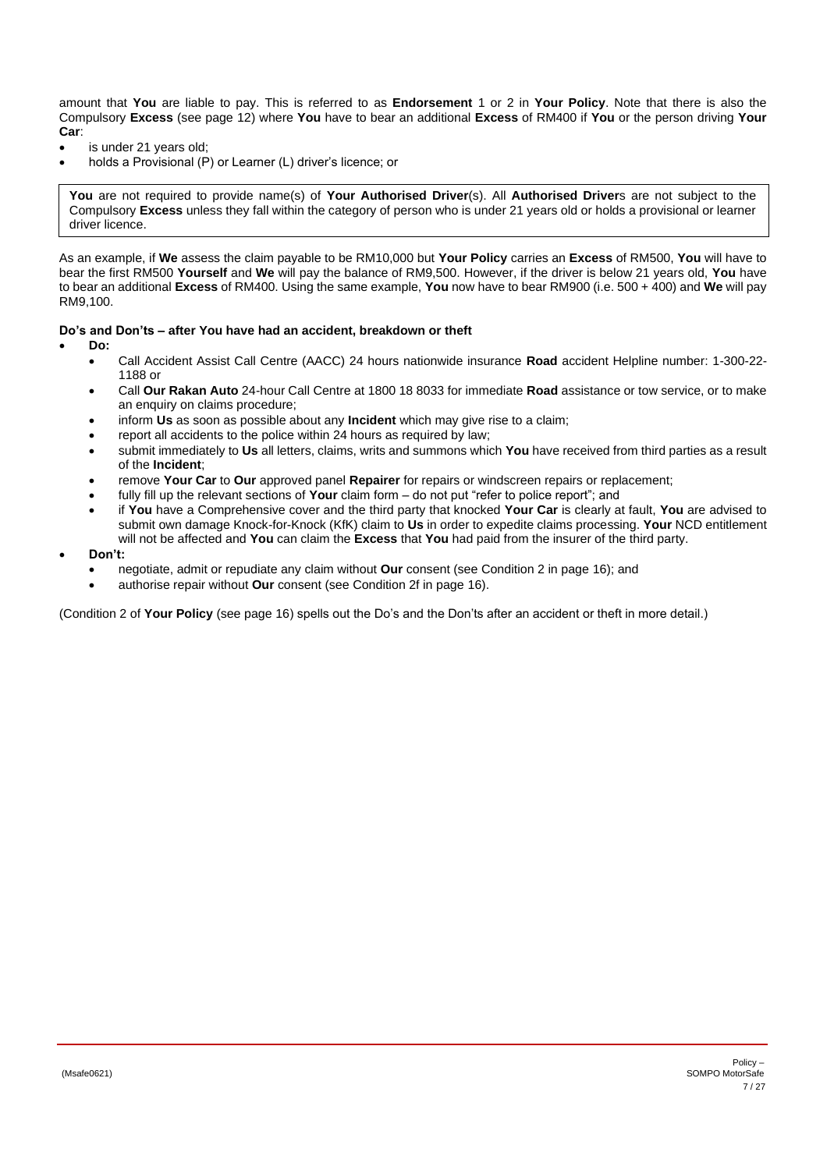amount that **You** are liable to pay. This is referred to as **Endorsement** 1 or 2 in **Your Policy**. Note that there is also the Compulsory **Excess** (see page [12\)](#page-11-4) where **You** have to bear an additional **Excess** of RM400 if **You** or the person driving **Your Car**:

- is under 21 years old;
- holds a Provisional (P) or Learner (L) driver's licence; or

**You** are not required to provide name(s) of **Your Authorised Driver**(s). All **Authorised Driver**s are not subject to the Compulsory **Excess** unless they fall within the category of person who is under 21 years old or holds a provisional or learner driver licence.

As an example, if **We** assess the claim payable to be RM10,000 but **Your Policy** carries an **Excess** of RM500, **You** will have to bear the first RM500 **Yourself** and **We** will pay the balance of RM9,500. However, if the driver is below 21 years old, **You** have to bear an additional **Excess** of RM400. Using the same example, **You** now have to bear RM900 (i.e. 500 + 400) and **We** will pay RM9,100.

### **Do's and Don'ts – after You have had an accident, breakdown or theft**

- **Do:**
	- Call Accident Assist Call Centre (AACC) 24 hours nationwide insurance **Road** accident Helpline number: 1-300-22- 1188 or
	- Call **Our Rakan Auto** 24-hour Call Centre at 1800 18 8033 for immediate **Road** assistance or tow service, or to make an enquiry on claims procedure;
	- inform **Us** as soon as possible about any **Incident** which may give rise to a claim;
	- report all accidents to the police within 24 hours as required by law;
	- submit immediately to **Us** all letters, claims, writs and summons which **You** have received from third parties as a result of the **Incident**;
	- remove **Your Car** to **Our** approved panel **Repairer** for repairs or windscreen repairs or replacement;
	- fully fill up the relevant sections of **Your** claim form do not put "refer to police report"; and
	- if **You** have a Comprehensive cover and the third party that knocked **Your Car** is clearly at fault, **You** are advised to submit own damage Knock-for-Knock (KfK) claim to **Us** in order to expedite claims processing. **Your** NCD entitlement will not be affected and **You** can claim the **Excess** that **You** had paid from the insurer of the third party.
- **Don't:**
	- negotiate, admit or repudiate any claim without **Our** consent (see Condition 2 in page [16\)](#page-15-0); and
	- authorise repair without **Our** consent (see Condition 2f in page [16\)](#page-15-0).

(Condition 2 of **Your Policy** (see page [16\)](#page-15-0) spells out the Do's and the Don'ts after an accident or theft in more detail.)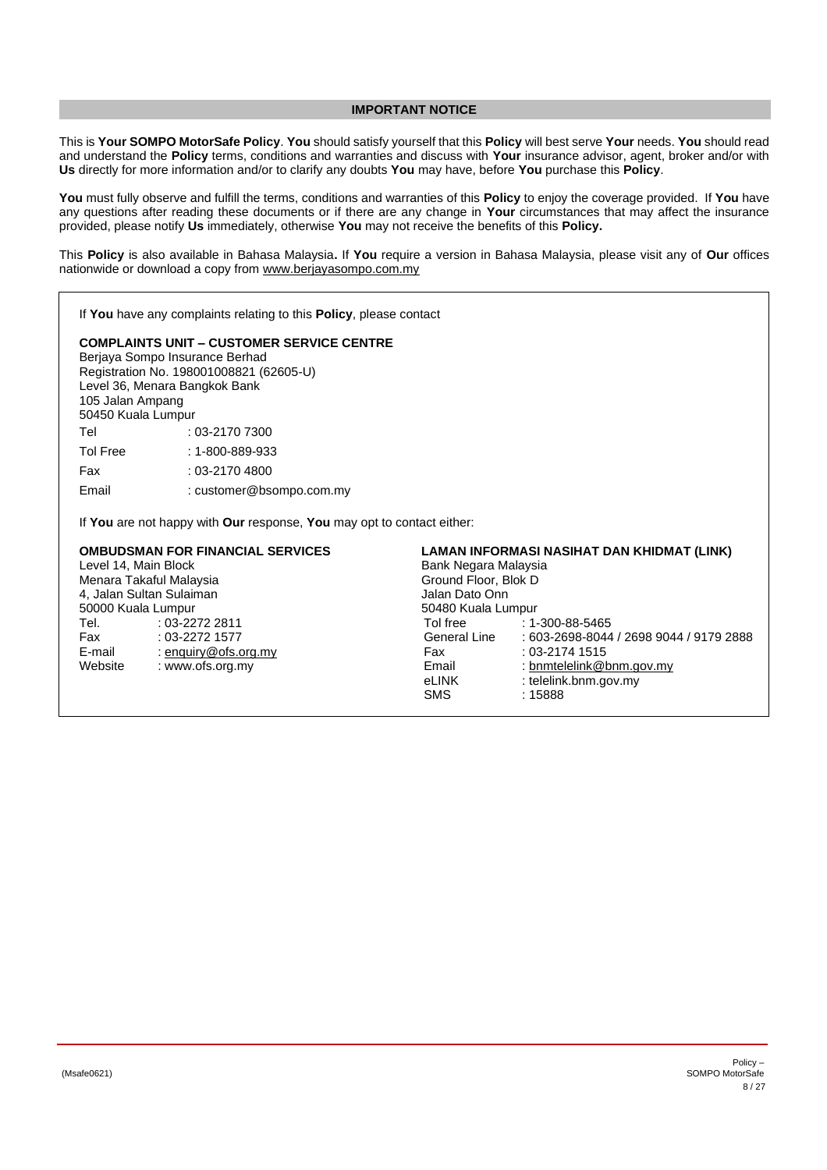### **IMPORTANT NOTICE**

<span id="page-7-0"></span>This is **Your SOMPO MotorSafe Policy**. **You** should satisfy yourself that this **Policy** will best serve **Your** needs. **You** should read and understand the **Policy** terms, conditions and warranties and discuss with **Your** insurance advisor, agent, broker and/or with **Us** directly for more information and/or to clarify any doubts **You** may have, before **You** purchase this **Policy**.

**You** must fully observe and fulfill the terms, conditions and warranties of this **Policy** to enjoy the coverage provided. If **You** have any questions after reading these documents or if there are any change in **Your** circumstances that may affect the insurance provided, please notify **Us** immediately, otherwise **You** may not receive the benefits of this **Policy.**

This **Policy** is also available in Bahasa Malaysia**.** If **You** require a version in Bahasa Malaysia, please visit any of **Our** offices nationwide or download a copy from [www.berjayasompo.com.my](http://www.berjayasompo.com.my/)

If **You** have any complaints relating to this **Policy**, please contact

# **COMPLAINTS UNIT – CUSTOMER SERVICE CENTRE**

Berjaya Sompo Insurance Berhad Registration No. 198001008821 (62605-U) Level 36, Menara Bangkok Bank 105 Jalan Ampang 50450 Kuala Lumpur Tel : 03-2170 7300 Tol Free : 1-800-889-933 Fax : 03-2170 4800

Email : customer@bsompo.com.my

If **You** are not happy with **Our** response, **You** may opt to contact either:

| <b>OMBUDSMAN FOR FINANCIAL SERVICES</b><br>LAMAN INFORMASI NASIHAT DAN KHIDMAT (LINK) |                      |                      |                                         |  |  |
|---------------------------------------------------------------------------------------|----------------------|----------------------|-----------------------------------------|--|--|
| Level 14, Main Block                                                                  |                      | Bank Negara Malaysia |                                         |  |  |
| Menara Takaful Malaysia                                                               |                      |                      | Ground Floor, Blok D                    |  |  |
| 4, Jalan Sultan Sulaiman                                                              |                      |                      | Jalan Dato Onn                          |  |  |
| 50000 Kuala Lumpur                                                                    |                      |                      | 50480 Kuala Lumpur                      |  |  |
| Tel.                                                                                  | $:03-22722811$       | Tol free             | $: 1 - 300 - 88 - 5465$                 |  |  |
| Fax                                                                                   | $: 03 - 2272$ 1577   | General Line         | : 603-2698-8044 / 2698 9044 / 9179 2888 |  |  |
| E-mail                                                                                | : enquiry@ofs.org.my | Fax                  | $: 03 - 2174$ 1515                      |  |  |
| Website                                                                               | : www.ofs.org.my     | Email                | : bnmtelelink@bnm.gov.my                |  |  |
|                                                                                       |                      | eLINK                | : telelink.bnm.gov.my                   |  |  |
|                                                                                       |                      | <b>SMS</b>           | :15888                                  |  |  |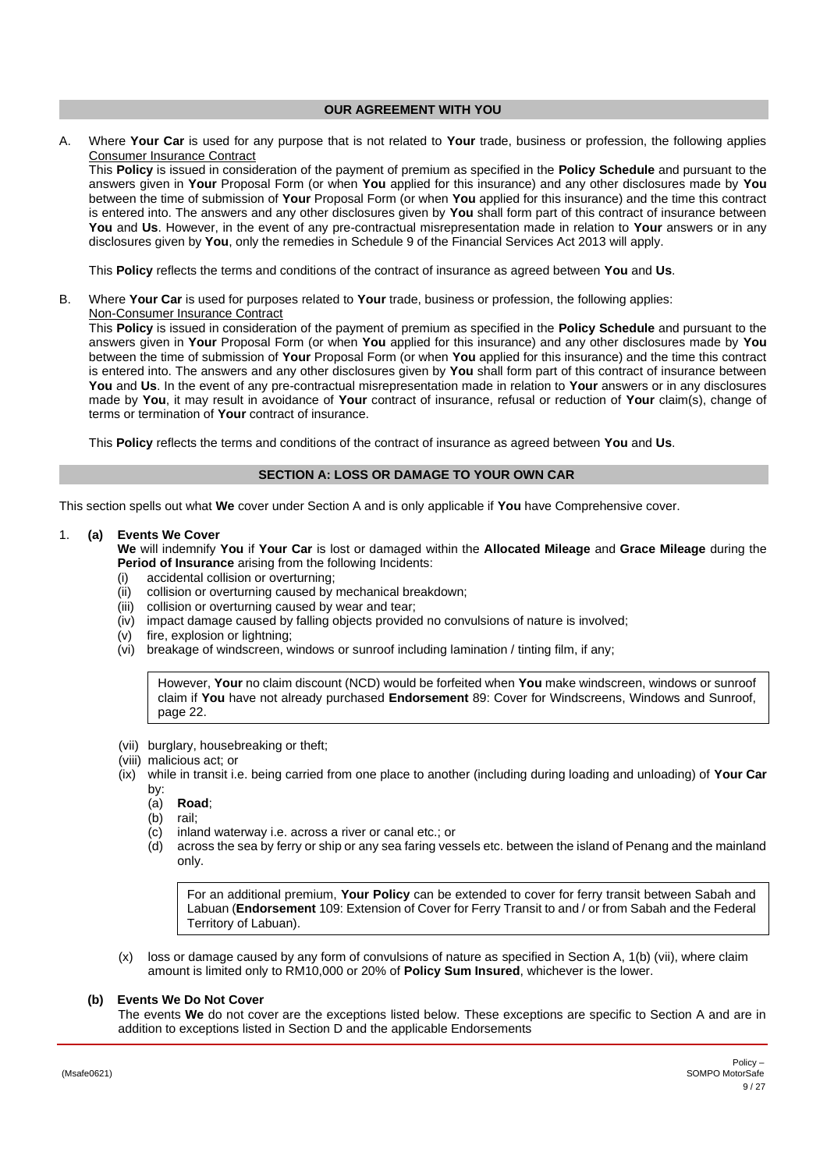#### **OUR AGREEMENT WITH YOU**

<span id="page-8-0"></span>A. Where **Your Car** is used for any purpose that is not related to **Your** trade, business or profession, the following applies Consumer Insurance Contract

This **Policy** is issued in consideration of the payment of premium as specified in the **Policy Schedule** and pursuant to the answers given in **Your** Proposal Form (or when **You** applied for this insurance) and any other disclosures made by **You** between the time of submission of **Your** Proposal Form (or when **You** applied for this insurance) and the time this contract is entered into. The answers and any other disclosures given by **You** shall form part of this contract of insurance between **You** and **Us**. However, in the event of any pre-contractual misrepresentation made in relation to **Your** answers or in any disclosures given by **You**, only the remedies in Schedule 9 of the Financial Services Act 2013 will apply.

This **Policy** reflects the terms and conditions of the contract of insurance as agreed between **You** and **Us**.

B. Where **Your Car** is used for purposes related to **Your** trade, business or profession, the following applies: Non-Consumer Insurance Contract

This **Policy** is issued in consideration of the payment of premium as specified in the **Policy Schedule** and pursuant to the answers given in **Your** Proposal Form (or when **You** applied for this insurance) and any other disclosures made by **You** between the time of submission of **Your** Proposal Form (or when **You** applied for this insurance) and the time this contract is entered into. The answers and any other disclosures given by **You** shall form part of this contract of insurance between **You** and **Us**. In the event of any pre-contractual misrepresentation made in relation to **Your** answers or in any disclosures made by **You**, it may result in avoidance of **Your** contract of insurance, refusal or reduction of **Your** claim(s), change of terms or termination of **Your** contract of insurance.

This **Policy** reflects the terms and conditions of the contract of insurance as agreed between **You** and **Us**.

### **SECTION A: LOSS OR DAMAGE TO YOUR OWN CAR**

<span id="page-8-1"></span>This section spells out what **We** cover under Section A and is only applicable if **You** have Comprehensive cover.

<span id="page-8-2"></span>1. **(a) Events We Cover**

**We** will indemnify **You** if **Your Car** is lost or damaged within the **Allocated Mileage** and **Grace Mileage** during the **Period of Insurance** arising from the following Incidents:

- (i) accidental collision or overturning;
- (ii) collision or overturning caused by mechanical breakdown;
- (iii) collision or overturning caused by wear and tear;
- (iv) impact damage caused by falling objects provided no convulsions of nature is involved;
- (v) fire, explosion or lightning;
- (vi) breakage of windscreen, windows or sunroof including lamination / tinting film, if any;

However, **Your** no claim discount (NCD) would be forfeited when **You** make windscreen, windows or sunroof claim if **You** have not already purchased **Endorsement** 89: Cover for Windscreens, Windows and Sunroof, page [22.](#page-21-0)

- (vii) burglary, housebreaking or theft;
- (viii) malicious act; or
- (ix) while in transit i.e. being carried from one place to another (including during loading and unloading) of **Your Car** by:
	- (a) **Road**;
	- (b) rail;
	- (c) inland waterway i.e. across a river or canal etc.; or
	- (d) across the sea by ferry or ship or any sea faring vessels etc. between the island of Penang and the mainland only.

For an additional premium, **Your Policy** can be extended to cover for ferry transit between Sabah and Labuan (**Endorsement** 109: Extension of Cover for Ferry Transit to and / or from Sabah and the Federal Territory of Labuan).

(x) loss or damage caused by any form of convulsions of nature as specified in Section A, 1(b) (vii), where claim amount is limited only to RM10,000 or 20% of **Policy Sum Insured**, whichever is the lower.

# <span id="page-8-3"></span>**(b) Events We Do Not Cover**

The events **We** do not cover are the exceptions listed below. These exceptions are specific to Section A and are in addition to exceptions listed in Section D and the applicable Endorsements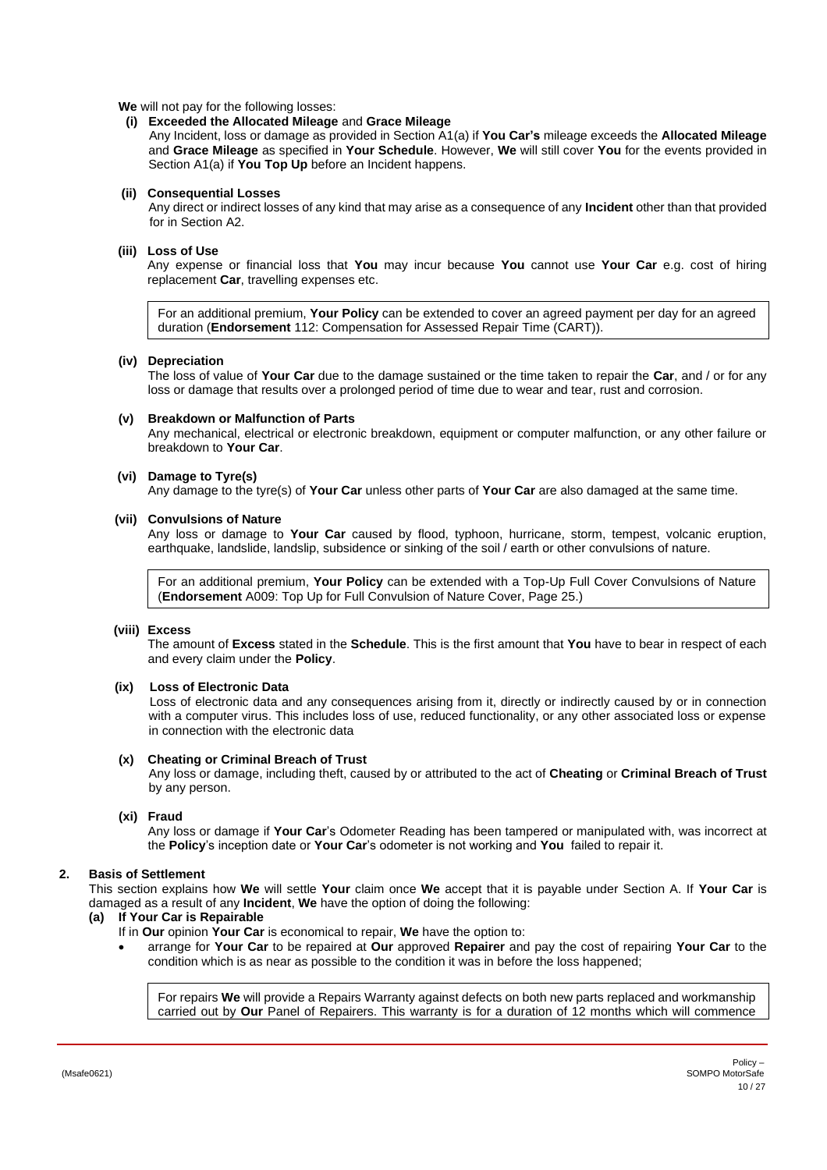#### **We** will not pay for the following losses:

# **(i) Exceeded the Allocated Mileage** and **Grace Mileage**

 Any Incident, loss or damage as provided in Section A1(a) if **You Car's** mileage exceeds the **Allocated Mileage** and **Grace Mileage** as specified in **Your Schedule**. However, **We** will still cover **You** for the events provided in Section A1(a) if **You Top Up** before an Incident happens.

### **(ii) Consequential Losses**

Any direct or indirect losses of any kind that may arise as a consequence of any **Incident** other than that provided for in Section A2.

### **(iii) Loss of Use**

Any expense or financial loss that **You** may incur because **You** cannot use **Your Car** e.g. cost of hiring replacement **Car**, travelling expenses etc.

For an additional premium, **Your Policy** can be extended to cover an agreed payment per day for an agreed duration (**Endorsement** 112: Compensation for Assessed Repair Time (CART)).

#### **(iv) Depreciation**

The loss of value of **Your Car** due to the damage sustained or the time taken to repair the **Car**, and / or for any loss or damage that results over a prolonged period of time due to wear and tear, rust and corrosion.

# **(v) Breakdown or Malfunction of Parts**

Any mechanical, electrical or electronic breakdown, equipment or computer malfunction, or any other failure or breakdown to **Your Car**.

#### **(vi) Damage to Tyre(s)**

Any damage to the tyre(s) of **Your Car** unless other parts of **Your Car** are also damaged at the same time.

#### **(vii) Convulsions of Nature**

Any loss or damage to **Your Car** caused by flood, typhoon, hurricane, storm, tempest, volcanic eruption, earthquake, landslide, landslip, subsidence or sinking of the soil / earth or other convulsions of nature.

For an additional premium, **Your Policy** can be extended with a Top-Up Full Cover Convulsions of Nature (**Endorsement** A009: Top Up for Full Convulsion of Nature Cover, Page [25.](#page-24-0))

### <span id="page-9-1"></span>**(viii) Excess**

The amount of **Excess** stated in the **Schedule**. This is the first amount that **You** have to bear in respect of each and every claim under the **Policy**.

#### **(ix) Loss of Electronic Data**

Loss of electronic data and any consequences arising from it, directly or indirectly caused by or in connection with a computer virus. This includes loss of use, reduced functionality, or any other associated loss or expense in connection with the electronic data

#### **(x) Cheating or Criminal Breach of Trust**

Any loss or damage, including theft, caused by or attributed to the act of **Cheating** or **Criminal Breach of Trust** by any person.

#### **(xi) Fraud**

Any loss or damage if **Your Car**'s Odometer Reading has been tampered or manipulated with, was incorrect at the **Policy**'s inception date or **Your Car**'s odometer is not working and **You** failed to repair it.

# <span id="page-9-0"></span>**2. Basis of Settlement**

This section explains how **We** will settle **Your** claim once **We** accept that it is payable under Section A. If **Your Car** is damaged as a result of any **Incident**, **We** have the option of doing the following:

# **(a) If Your Car is Repairable**

If in **Our** opinion **Your Car** is economical to repair, **We** have the option to:

• arrange for **Your Car** to be repaired at **Our** approved **Repairer** and pay the cost of repairing **Your Car** to the condition which is as near as possible to the condition it was in before the loss happened;

For repairs **We** will provide a Repairs Warranty against defects on both new parts replaced and workmanship carried out by **Our** Panel of Repairers. This warranty is for a duration of 12 months which will commence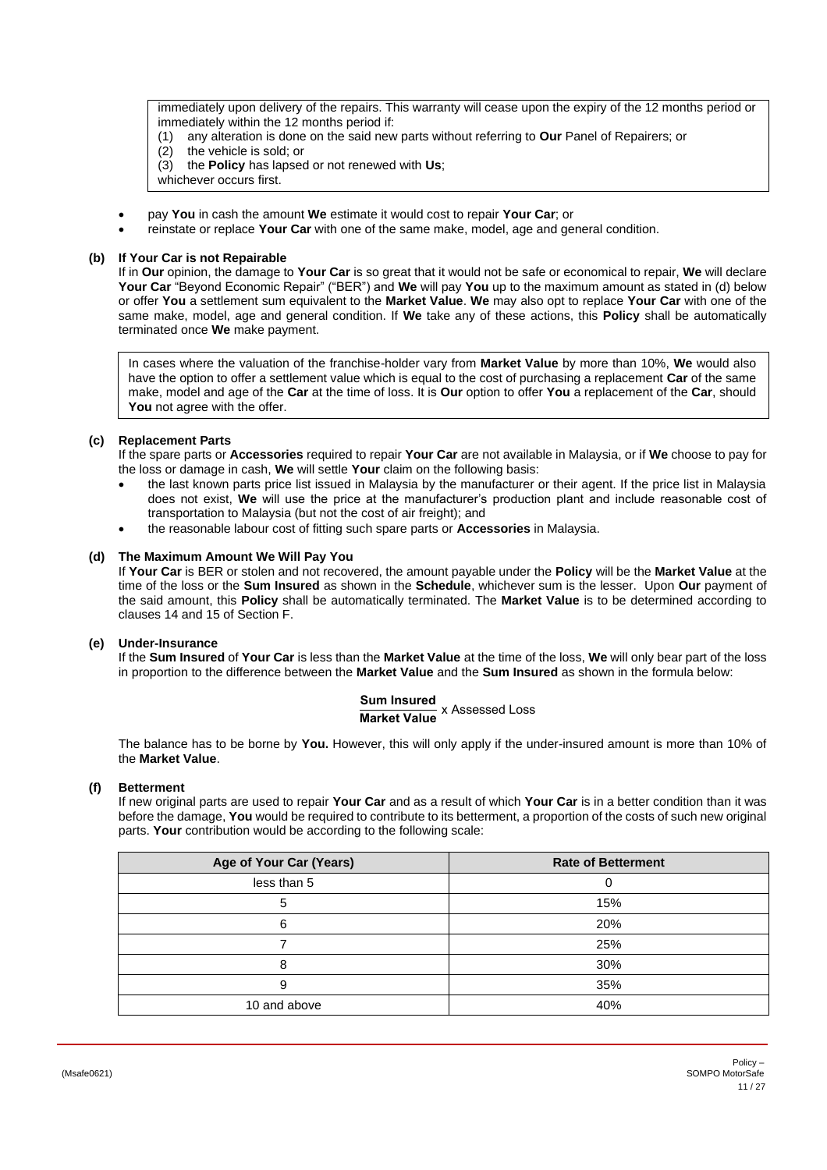immediately upon delivery of the repairs. This warranty will cease upon the expiry of the 12 months period or immediately within the 12 months period if:

- (1) any alteration is done on the said new parts without referring to **Our** Panel of Repairers; or
- (2) the vehicle is sold; or
- (3) the **Policy** has lapsed or not renewed with **Us**;
- whichever occurs first.
- pay **You** in cash the amount **We** estimate it would cost to repair **Your Car**; or
- reinstate or replace **Your Car** with one of the same make, model, age and general condition.

# **(b) If Your Car is not Repairable**

If in **Our** opinion, the damage to **Your Car** is so great that it would not be safe or economical to repair, **We** will declare **Your Car** "Beyond Economic Repair" ("BER") and **We** will pay **You** up to the maximum amount as stated in (d) below or offer **You** a settlement sum equivalent to the **Market Value**. **We** may also opt to replace **Your Car** with one of the same make, model, age and general condition. If **We** take any of these actions, this **Policy** shall be automatically terminated once **We** make payment.

In cases where the valuation of the franchise-holder vary from **Market Value** by more than 10%, **We** would also have the option to offer a settlement value which is equal to the cost of purchasing a replacement **Car** of the same make, model and age of the **Car** at the time of loss. It is **Our** option to offer **You** a replacement of the **Car**, should You not agree with the offer.

# **(c) Replacement Parts**

If the spare parts or **Accessories** required to repair **Your Car** are not available in Malaysia, or if **We** choose to pay for the loss or damage in cash, **We** will settle **Your** claim on the following basis:

- the last known parts price list issued in Malaysia by the manufacturer or their agent. If the price list in Malaysia does not exist, **We** will use the price at the manufacturer's production plant and include reasonable cost of transportation to Malaysia (but not the cost of air freight); and
- the reasonable labour cost of fitting such spare parts or **Accessories** in Malaysia.

# **(d) The Maximum Amount We Will Pay You**

If **Your Car** is BER or stolen and not recovered, the amount payable under the **Policy** will be the **Market Value** at the time of the loss or the **Sum Insured** as shown in the **Schedule**, whichever sum is the lesser. Upon **Our** payment of the said amount, this **Policy** shall be automatically terminated. The **Market Value** is to be determined according to clauses 14 and 15 of Section F.

### <span id="page-10-0"></span>**(e) Under-Insurance**

If the **Sum Insured** of **Your Car** is less than the **Market Value** at the time of the loss, **We** will only bear part of the loss in proportion to the difference between the **Market Value** and the **Sum Insured** as shown in the formula below:

**Sum Insured Market Value** x Assessed Loss

The balance has to be borne by **You.** However, this will only apply if the under-insured amount is more than 10% of the **Market Value**.

# **(f) Betterment**

If new original parts are used to repair **Your Car** and as a result of which **Your Car** is in a better condition than it was before the damage, **You** would be required to contribute to its betterment, a proportion of the costs of such new original parts. **Your** contribution would be according to the following scale:

| Age of Your Car (Years) | <b>Rate of Betterment</b> |
|-------------------------|---------------------------|
| less than 5             |                           |
| 5                       | 15%                       |
| 6                       | 20%                       |
|                         | 25%                       |
| 8                       | 30%                       |
| 9                       | 35%                       |
| 10 and above            | 40%                       |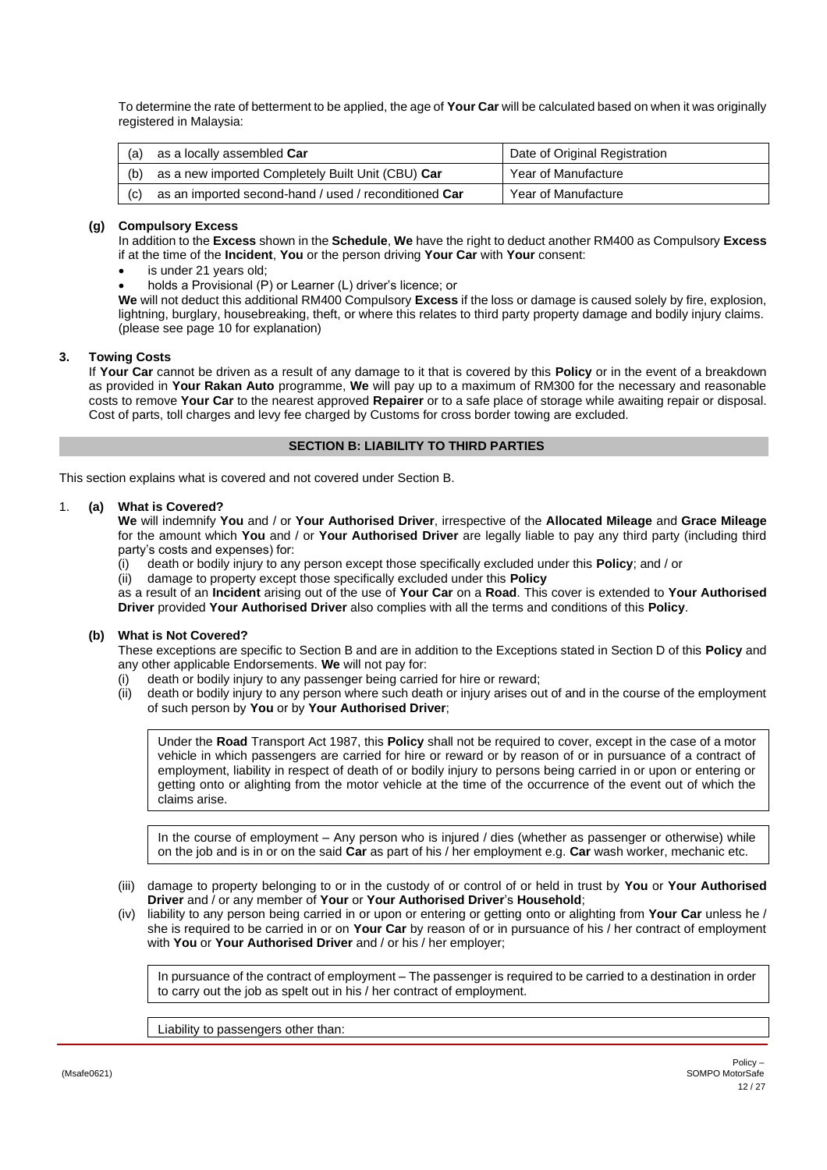To determine the rate of betterment to be applied, the age of **Your Car** will be calculated based on when it was originally registered in Malaysia:

| (a) | as a locally assembled Car                            | Date of Original Registration |
|-----|-------------------------------------------------------|-------------------------------|
| (b) | as a new imported Completely Built Unit (CBU) Car     | Year of Manufacture           |
| (C) | as an imported second-hand / used / reconditioned Car | Year of Manufacture           |

# <span id="page-11-4"></span>**(g) Compulsory Excess**

In addition to the **Excess** shown in the **Schedule**, **We** have the right to deduct another RM400 as Compulsory **Excess** if at the time of the **Incident**, **You** or the person driving **Your Car** with **Your** consent:

- is under 21 years old;
- holds a Provisional (P) or Learner (L) driver's licence; or

**We** will not deduct this additional RM400 Compulsory **Excess** if the loss or damage is caused solely by fire, explosion, lightning, burglary, housebreaking, theft, or where this relates to third party property damage and bodily injury claims. (please see pag[e 10](#page-9-1) for explanation)

# <span id="page-11-1"></span>**3. Towing Costs**

If **Your Car** cannot be driven as a result of any damage to it that is covered by this **Policy** or in the event of a breakdown as provided in **Your Rakan Auto** programme, **We** will pay up to a maximum of RM300 for the necessary and reasonable costs to remove **Your Car** to the nearest approved **Repairer** or to a safe place of storage while awaiting repair or disposal. Cost of parts, toll charges and levy fee charged by Customs for cross border towing are excluded.

### **SECTION B: LIABILITY TO THIRD PARTIES**

<span id="page-11-0"></span>This section explains what is covered and not covered under Section B.

### <span id="page-11-2"></span>1. **(a) What is Covered?**

**We** will indemnify **You** and / or **Your Authorised Driver**, irrespective of the **Allocated Mileage** and **Grace Mileage** for the amount which **You** and / or **Your Authorised Driver** are legally liable to pay any third party (including third party's costs and expenses) for:

(i) death or bodily injury to any person except those specifically excluded under this **Policy**; and / or

(ii) damage to property except those specifically excluded under this **Policy**

as a result of an **Incident** arising out of the use of **Your Car** on a **Road**. This cover is extended to **Your Authorised Driver** provided **Your Authorised Driver** also complies with all the terms and conditions of this **Policy**.

# <span id="page-11-3"></span>**(b) What is Not Covered?**

These exceptions are specific to Section B and are in addition to the Exceptions stated in Section D of this **Policy** and any other applicable Endorsements. **We** will not pay for:

- (i) death or bodily injury to any passenger being carried for hire or reward;
- (ii) death or bodily injury to any person where such death or injury arises out of and in the course of the employment of such person by **You** or by **Your Authorised Driver**;

Under the **Road** Transport Act 1987, this **Policy** shall not be required to cover, except in the case of a motor vehicle in which passengers are carried for hire or reward or by reason of or in pursuance of a contract of employment, liability in respect of death of or bodily injury to persons being carried in or upon or entering or getting onto or alighting from the motor vehicle at the time of the occurrence of the event out of which the claims arise.

In the course of employment – Any person who is injured / dies (whether as passenger or otherwise) while on the job and is in or on the said **Car** as part of his / her employment e.g. **Car** wash worker, mechanic etc.

- (iii) damage to property belonging to or in the custody of or control of or held in trust by **You** or **Your Authorised Driver** and / or any member of **Your** or **Your Authorised Driver**'s **Household**;
- (iv) liability to any person being carried in or upon or entering or getting onto or alighting from **Your Car** unless he / she is required to be carried in or on **Your Car** by reason of or in pursuance of his / her contract of employment with **You** or **Your Authorised Driver** and / or his / her employer;

In pursuance of the contract of employment – The passenger is required to be carried to a destination in order to carry out the job as spelt out in his / her contract of employment.

Liability to passengers other than: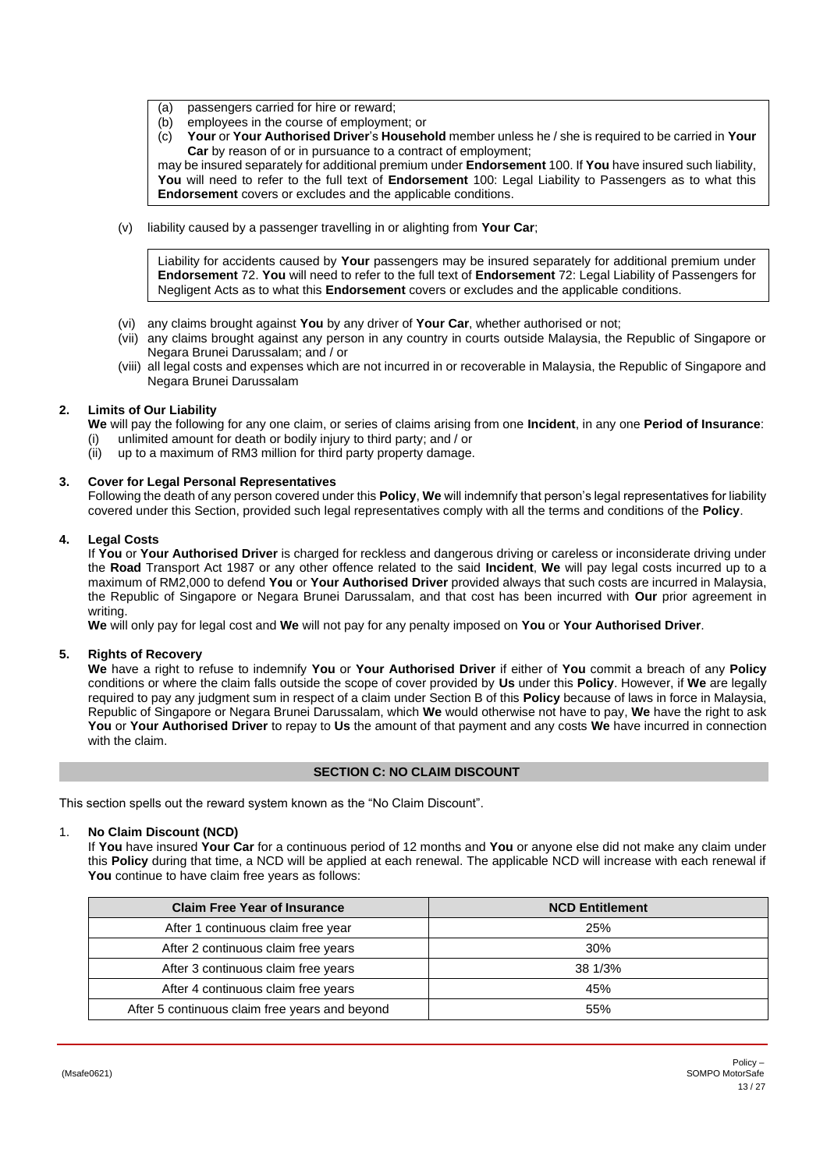- (a) passengers carried for hire or reward;
- (b) employees in the course of employment; or
- (c) **Your** or **Your Authorised Driver**'s **Household** member unless he / she is required to be carried in **Your Car** by reason of or in pursuance to a contract of employment;

may be insured separately for additional premium under **Endorsement** 100. If **You** have insured such liability, **You** will need to refer to the full text of **Endorsement** 100: Legal Liability to Passengers as to what this **Endorsement** covers or excludes and the applicable conditions.

(v) liability caused by a passenger travelling in or alighting from **Your Car**;

Liability for accidents caused by **Your** passengers may be insured separately for additional premium under **Endorsement** 72. **You** will need to refer to the full text of **Endorsement** 72: Legal Liability of Passengers for Negligent Acts as to what this **Endorsement** covers or excludes and the applicable conditions.

- (vi) any claims brought against **You** by any driver of **Your Car**, whether authorised or not;
- (vii) any claims brought against any person in any country in courts outside Malaysia, the Republic of Singapore or Negara Brunei Darussalam; and / or
- (viii) all legal costs and expenses which are not incurred in or recoverable in Malaysia, the Republic of Singapore and Negara Brunei Darussalam

# **2. Limits of Our Liability**

<span id="page-12-1"></span>**We** will pay the following for any one claim, or series of claims arising from one **Incident**, in any one **Period of Insurance**:

- (i) unlimited amount for death or bodily injury to third party; and / or
- (ii) up to a maximum of RM3 million for third party property damage.

# **3. Cover for Legal Personal Representatives**

<span id="page-12-2"></span>Following the death of any person covered under this **Policy**, **We** will indemnify that person's legal representatives for liability covered under this Section, provided such legal representatives comply with all the terms and conditions of the **Policy**.

# **4. Legal Costs**

<span id="page-12-3"></span>If **You** or **Your Authorised Driver** is charged for reckless and dangerous driving or careless or inconsiderate driving under the **Road** Transport Act 1987 or any other offence related to the said **Incident**, **We** will pay legal costs incurred up to a maximum of RM2,000 to defend **You** or **Your Authorised Driver** provided always that such costs are incurred in Malaysia, the Republic of Singapore or Negara Brunei Darussalam, and that cost has been incurred with **Our** prior agreement in writing.

**We** will only pay for legal cost and **We** will not pay for any penalty imposed on **You** or **Your Authorised Driver**.

### **5. Rights of Recovery**

<span id="page-12-4"></span>**We** have a right to refuse to indemnify **You** or **Your Authorised Driver** if either of **You** commit a breach of any **Policy** conditions or where the claim falls outside the scope of cover provided by **Us** under this **Policy**. However, if **We** are legally required to pay any judgment sum in respect of a claim under Section B of this **Policy** because of laws in force in Malaysia, Republic of Singapore or Negara Brunei Darussalam, which **We** would otherwise not have to pay, **We** have the right to ask **You** or **Your Authorised Driver** to repay to **Us** the amount of that payment and any costs **We** have incurred in connection with the claim.

# **SECTION C: NO CLAIM DISCOUNT**

<span id="page-12-0"></span>This section spells out the reward system known as the "No Claim Discount".

### 1. **No Claim Discount (NCD)**

If **You** have insured **Your Car** for a continuous period of 12 months and **You** or anyone else did not make any claim under this **Policy** during that time, a NCD will be applied at each renewal. The applicable NCD will increase with each renewal if **You** continue to have claim free years as follows:

| <b>Claim Free Year of Insurance</b>            | <b>NCD Entitlement</b> |
|------------------------------------------------|------------------------|
| After 1 continuous claim free year             | 25%                    |
| After 2 continuous claim free years            | 30%                    |
| After 3 continuous claim free years            | 38 1/3%                |
| After 4 continuous claim free years            | 45%                    |
| After 5 continuous claim free years and beyond | 55%                    |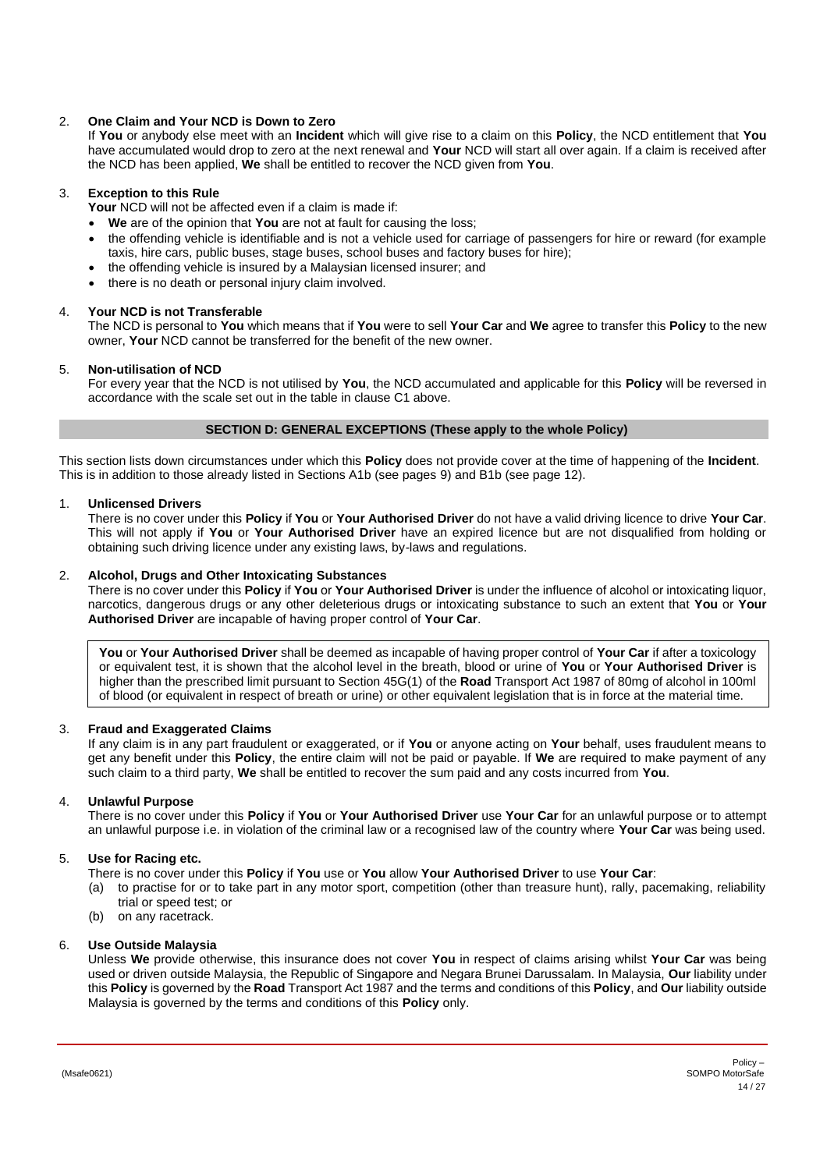# 2. **One Claim and Your NCD is Down to Zero**

If **You** or anybody else meet with an **Incident** which will give rise to a claim on this **Policy**, the NCD entitlement that **You** have accumulated would drop to zero at the next renewal and **Your** NCD will start all over again. If a claim is received after the NCD has been applied, **We** shall be entitled to recover the NCD given from **You**.

# 3. **Exception to this Rule**

**Your** NCD will not be affected even if a claim is made if:

- **We** are of the opinion that **You** are not at fault for causing the loss;
- the offending vehicle is identifiable and is not a vehicle used for carriage of passengers for hire or reward (for example taxis, hire cars, public buses, stage buses, school buses and factory buses for hire);
- the offending vehicle is insured by a Malaysian licensed insurer; and
- there is no death or personal injury claim involved.

# 4. **Your NCD is not Transferable**

The NCD is personal to **You** which means that if **You** were to sell **Your Car** and **We** agree to transfer this **Policy** to the new owner, **Your** NCD cannot be transferred for the benefit of the new owner.

# 5. **Non-utilisation of NCD**

For every year that the NCD is not utilised by **You**, the NCD accumulated and applicable for this **Policy** will be reversed in accordance with the scale set out in the table in clause C1 above.

# **SECTION D: GENERAL EXCEPTIONS (These apply to the whole Policy)**

<span id="page-13-0"></span>This section lists down circumstances under which this **Policy** does not provide cover at the time of happening of the **Incident**. This is in addition to those already listed in Sections A1b (see page[s 9\)](#page-8-3) and B1b (see page [12\)](#page-11-3).

# 1. **Unlicensed Drivers**

<span id="page-13-2"></span>There is no cover under this **Policy** if **You** or **Your Authorised Driver** do not have a valid driving licence to drive **Your Car**. This will not apply if **You** or **Your Authorised Driver** have an expired licence but are not disqualified from holding or obtaining such driving licence under any existing laws, by-laws and regulations.

# 2. **Alcohol, Drugs and Other Intoxicating Substances**

There is no cover under this **Policy** if **You** or **Your Authorised Driver** is under the influence of alcohol or intoxicating liquor, narcotics, dangerous drugs or any other deleterious drugs or intoxicating substance to such an extent that **You** or **Your Authorised Driver** are incapable of having proper control of **Your Car**.

**You** or **Your Authorised Driver** shall be deemed as incapable of having proper control of **Your Car** if after a toxicology or equivalent test, it is shown that the alcohol level in the breath, blood or urine of **You** or **Your Authorised Driver** is higher than the prescribed limit pursuant to Section 45G(1) of the **Road** Transport Act 1987 of 80mg of alcohol in 100ml of blood (or equivalent in respect of breath or urine) or other equivalent legislation that is in force at the material time.

### 3. **Fraud and Exaggerated Claims**

If any claim is in any part fraudulent or exaggerated, or if **You** or anyone acting on **Your** behalf, uses fraudulent means to get any benefit under this **Policy**, the entire claim will not be paid or payable. If **We** are required to make payment of any such claim to a third party, **We** shall be entitled to recover the sum paid and any costs incurred from **You**.

### 4. **Unlawful Purpose**

There is no cover under this **Policy** if **You** or **Your Authorised Driver** use **Your Car** for an unlawful purpose or to attempt an unlawful purpose i.e. in violation of the criminal law or a recognised law of the country where **Your Car** was being used.

# 5. **Use for Racing etc.**

- There is no cover under this **Policy** if **You** use or **You** allow **Your Authorised Driver** to use **Your Car**:
- (a) to practise for or to take part in any motor sport, competition (other than treasure hunt), rally, pacemaking, reliability trial or speed test; or
- (b) on any racetrack.

### 6. **Use Outside Malaysia**

<span id="page-13-1"></span>Unless **We** provide otherwise, this insurance does not cover **You** in respect of claims arising whilst **Your Car** was being used or driven outside Malaysia, the Republic of Singapore and Negara Brunei Darussalam. In Malaysia, **Our** liability under this **Policy** is governed by the **Road** Transport Act 1987 and the terms and conditions of this **Policy**, and **Our** liability outside Malaysia is governed by the terms and conditions of this **Policy** only.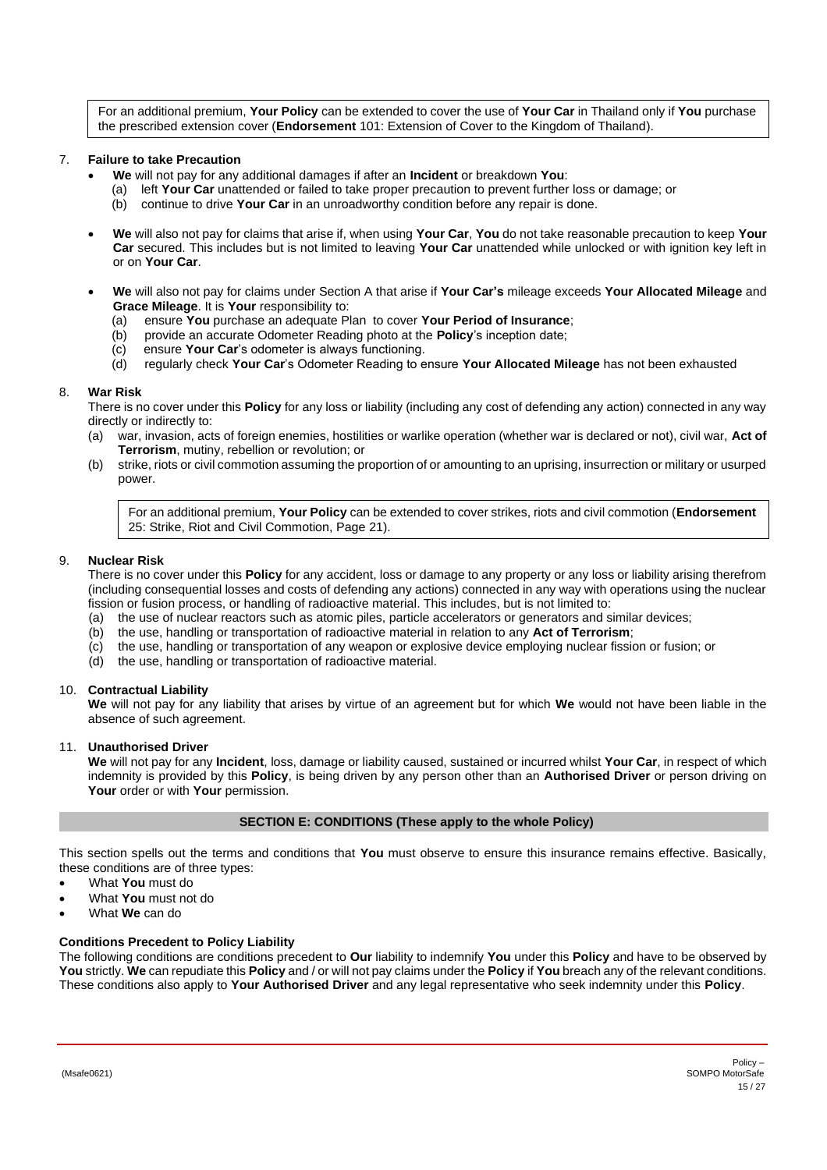For an additional premium, **Your Policy** can be extended to cover the use of **Your Car** in Thailand only if **You** purchase the prescribed extension cover (**Endorsement** 101: Extension of Cover to the Kingdom of Thailand).

# 7. **Failure to take Precaution**

- **We** will not pay for any additional damages if after an **Incident** or breakdown **You**:
	- (a) left **Your Car** unattended or failed to take proper precaution to prevent further loss or damage; or
	- (b) continue to drive **Your Car** in an unroadworthy condition before any repair is done.
- **We** will also not pay for claims that arise if, when using **Your Car**, **You** do not take reasonable precaution to keep **Your Car** secured. This includes but is not limited to leaving **Your Car** unattended while unlocked or with ignition key left in or on **Your Car**.
- **We** will also not pay for claims under Section A that arise if **Your Car's** mileage exceeds **Your Allocated Mileage** and **Grace Mileage**. It is **Your** responsibility to:
	- (a) ensure **You** purchase an adequate Plan to cover **Your Period of Insurance**;
	- (b) provide an accurate Odometer Reading photo at the **Policy**'s inception date;
	- (c) ensure **Your Car**'s odometer is always functioning.
	- (d) regularly check **Your Car**'s Odometer Reading to ensure **Your Allocated Mileage** has not been exhausted

### 8. **War Risk**

<span id="page-14-1"></span>There is no cover under this **Policy** for any loss or liability (including any cost of defending any action) connected in any way directly or indirectly to:

- (a) war, invasion, acts of foreign enemies, hostilities or warlike operation (whether war is declared or not), civil war, **Act of Terrorism**, mutiny, rebellion or revolution; or
- (b) strike, riots or civil commotion assuming the proportion of or amounting to an uprising, insurrection or military or usurped power.

For an additional premium, **Your Policy** can be extended to cover strikes, riots and civil commotion (**Endorsement** 25: Strike, Riot and Civil Commotion, Page [21\)](#page-20-0).

### 9. **Nuclear Risk**

There is no cover under this **Policy** for any accident, loss or damage to any property or any loss or liability arising therefrom (including consequential losses and costs of defending any actions) connected in any way with operations using the nuclear fission or fusion process, or handling of radioactive material. This includes, but is not limited to:

- (a) the use of nuclear reactors such as atomic piles, particle accelerators or generators and similar devices;  $(b)$  the use, handling or transportation of radioactive material in relation to any **Act of Terrorism**;
- (b) the use, handling or transportation of radioactive material in relation to any **Act of Terrorism**;
- (c) the use, handling or transportation of any weapon or explosive device employing nuclear fission or fusion; or
- (d) the use, handling or transportation of radioactive material.

### 10. **Contractual Liability**

**We** will not pay for any liability that arises by virtue of an agreement but for which **We** would not have been liable in the absence of such agreement.

### 11. **Unauthorised Driver**

**We** will not pay for any **Incident**, loss, damage or liability caused, sustained or incurred whilst **Your Car**, in respect of which indemnity is provided by this **Policy**, is being driven by any person other than an **Authorised Driver** or person driving on **Your** order or with **Your** permission.

### **SECTION E: CONDITIONS (These apply to the whole Policy)**

<span id="page-14-0"></span>This section spells out the terms and conditions that **You** must observe to ensure this insurance remains effective. Basically, these conditions are of three types:

- What **You** must do
- What **You** must not do
- What **We** can do

### **Conditions Precedent to Policy Liability**

The following conditions are conditions precedent to **Our** liability to indemnify **You** under this **Policy** and have to be observed by **You** strictly. **We** can repudiate this **Policy** and / or will not pay claims under the **Policy** if **You** breach any of the relevant conditions. These conditions also apply to **Your Authorised Driver** and any legal representative who seek indemnity under this **Policy**.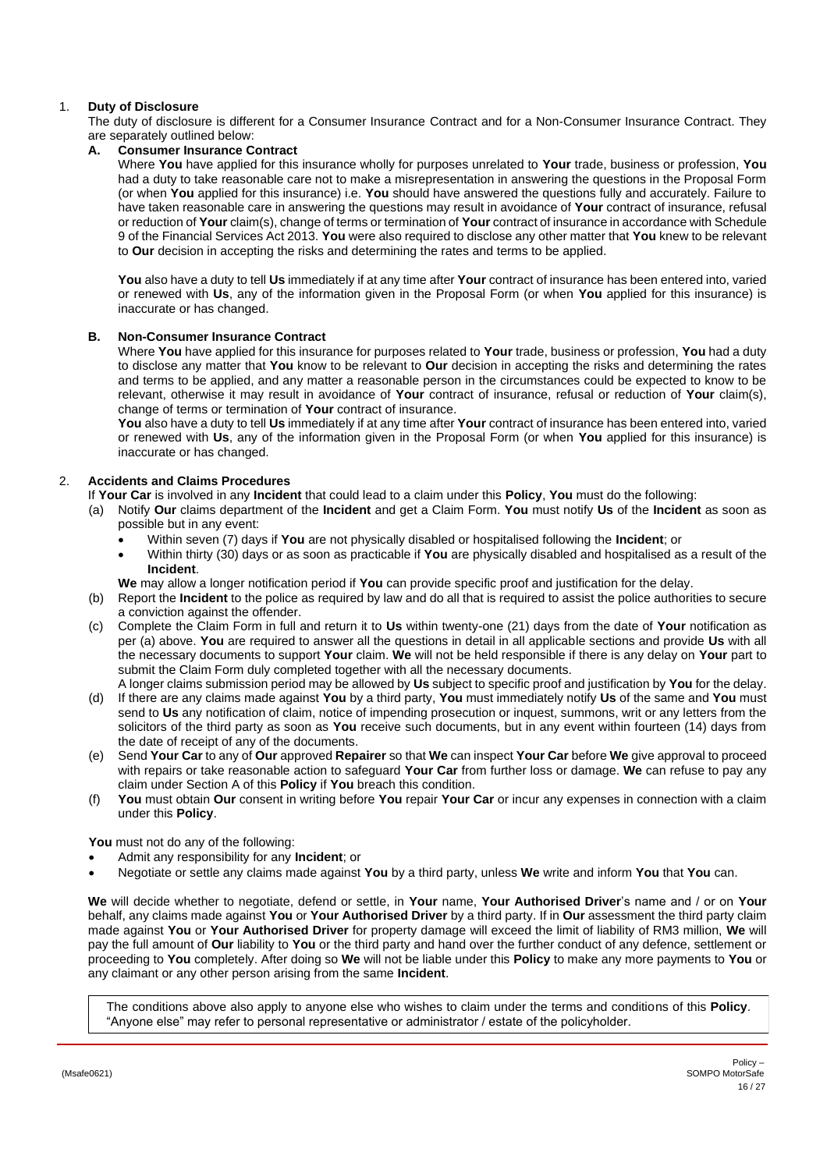# 1. **Duty of Disclosure**

The duty of disclosure is different for a Consumer Insurance Contract and for a Non-Consumer Insurance Contract. They are separately outlined below:

# **A. Consumer Insurance Contract**

Where **You** have applied for this insurance wholly for purposes unrelated to **Your** trade, business or profession, **You** had a duty to take reasonable care not to make a misrepresentation in answering the questions in the Proposal Form (or when **You** applied for this insurance) i.e. **You** should have answered the questions fully and accurately. Failure to have taken reasonable care in answering the questions may result in avoidance of **Your** contract of insurance, refusal or reduction of **Your** claim(s), change of terms or termination of **Your** contract of insurance in accordance with Schedule 9 of the Financial Services Act 2013. **You** were also required to disclose any other matter that **You** knew to be relevant to **Our** decision in accepting the risks and determining the rates and terms to be applied.

**You** also have a duty to tell **Us** immediately if at any time after **Your** contract of insurance has been entered into, varied or renewed with **Us**, any of the information given in the Proposal Form (or when **You** applied for this insurance) is inaccurate or has changed.

### **B. Non-Consumer Insurance Contract**

Where **You** have applied for this insurance for purposes related to **Your** trade, business or profession, **You** had a duty to disclose any matter that **You** know to be relevant to **Our** decision in accepting the risks and determining the rates and terms to be applied, and any matter a reasonable person in the circumstances could be expected to know to be relevant, otherwise it may result in avoidance of **Your** contract of insurance, refusal or reduction of **Your** claim(s), change of terms or termination of **Your** contract of insurance.

**You** also have a duty to tell **Us** immediately if at any time after **Your** contract of insurance has been entered into, varied or renewed with **Us**, any of the information given in the Proposal Form (or when **You** applied for this insurance) is inaccurate or has changed.

# 2. **Accidents and Claims Procedures**

<span id="page-15-0"></span>If **Your Car** is involved in any **Incident** that could lead to a claim under this **Policy**, **You** must do the following:

- (a) Notify **Our** claims department of the **Incident** and get a Claim Form. **You** must notify **Us** of the **Incident** as soon as possible but in any event:
	- Within seven (7) days if **You** are not physically disabled or hospitalised following the **Incident**; or
	- Within thirty (30) days or as soon as practicable if **You** are physically disabled and hospitalised as a result of the **Incident**.
	- **We** may allow a longer notification period if **You** can provide specific proof and justification for the delay.
- (b) Report the **Incident** to the police as required by law and do all that is required to assist the police authorities to secure a conviction against the offender.
- (c) Complete the Claim Form in full and return it to **Us** within twenty-one (21) days from the date of **Your** notification as per (a) above. **You** are required to answer all the questions in detail in all applicable sections and provide **Us** with all the necessary documents to support **Your** claim. **We** will not be held responsible if there is any delay on **Your** part to submit the Claim Form duly completed together with all the necessary documents.
- A longer claims submission period may be allowed by **Us** subject to specific proof and justification by **You** for the delay. (d) If there are any claims made against **You** by a third party, **You** must immediately notify **Us** of the same and **You** must send to **Us** any notification of claim, notice of impending prosecution or inquest, summons, writ or any letters from the solicitors of the third party as soon as **You** receive such documents, but in any event within fourteen (14) days from the date of receipt of any of the documents.
- (e) Send **Your Car** to any of **Our** approved **Repairer** so that **We** can inspect **Your Car** before **We** give approval to proceed with repairs or take reasonable action to safeguard **Your Car** from further loss or damage. **We** can refuse to pay any claim under Section A of this **Policy** if **You** breach this condition.
- (f) **You** must obtain **Our** consent in writing before **You** repair **Your Car** or incur any expenses in connection with a claim under this **Policy**.

**You** must not do any of the following:

- Admit any responsibility for any **Incident**; or
- Negotiate or settle any claims made against **You** by a third party, unless **We** write and inform **You** that **You** can.

**We** will decide whether to negotiate, defend or settle, in **Your** name, **Your Authorised Driver**'s name and / or on **Your** behalf, any claims made against **You** or **Your Authorised Driver** by a third party. If in **Our** assessment the third party claim made against **You** or **Your Authorised Driver** for property damage will exceed the limit of liability of RM3 million, **We** will pay the full amount of **Our** liability to **You** or the third party and hand over the further conduct of any defence, settlement or proceeding to **You** completely. After doing so **We** will not be liable under this **Policy** to make any more payments to **You** or any claimant or any other person arising from the same **Incident**.

The conditions above also apply to anyone else who wishes to claim under the terms and conditions of this **Policy**. "Anyone else" may refer to personal representative or administrator / estate of the policyholder.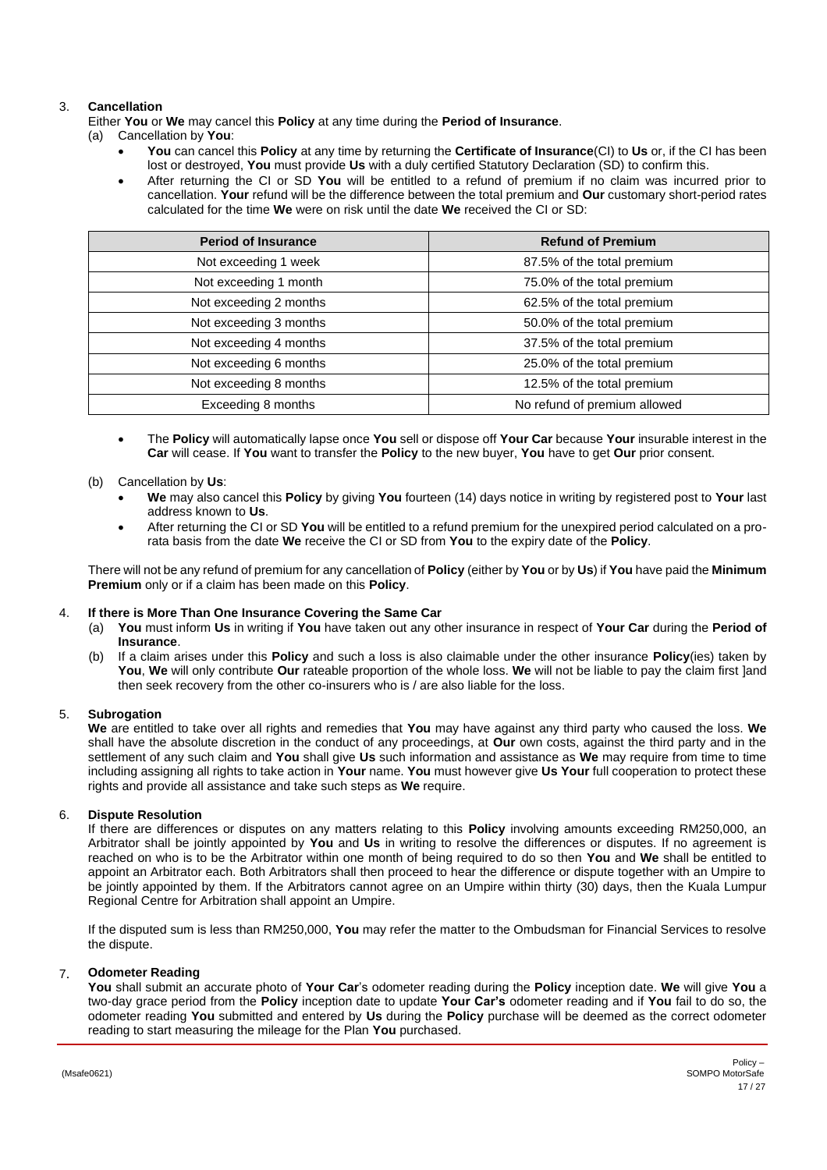# 3. **Cancellation**

Either **You** or **We** may cancel this **Policy** at any time during the **Period of Insurance**.

- (a) Cancellation by **You**:
	- **You** can cancel this **Policy** at any time by returning the **Certificate of Insurance**(CI) to **Us** or, if the CI has been lost or destroyed, **You** must provide **Us** with a duly certified Statutory Declaration (SD) to confirm this.
	- After returning the CI or SD **You** will be entitled to a refund of premium if no claim was incurred prior to cancellation. **Your** refund will be the difference between the total premium and **Our** customary short-period rates calculated for the time **We** were on risk until the date **We** received the CI or SD:

| <b>Period of Insurance</b> | <b>Refund of Premium</b>     |
|----------------------------|------------------------------|
| Not exceeding 1 week       | 87.5% of the total premium   |
| Not exceeding 1 month      | 75.0% of the total premium   |
| Not exceeding 2 months     | 62.5% of the total premium   |
| Not exceeding 3 months     | 50.0% of the total premium   |
| Not exceeding 4 months     | 37.5% of the total premium   |
| Not exceeding 6 months     | 25.0% of the total premium   |
| Not exceeding 8 months     | 12.5% of the total premium   |
| Exceeding 8 months         | No refund of premium allowed |

• The **Policy** will automatically lapse once **You** sell or dispose off **Your Car** because **Your** insurable interest in the **Car** will cease. If **You** want to transfer the **Policy** to the new buyer, **You** have to get **Our** prior consent.

# (b) Cancellation by **Us**:

- **We** may also cancel this **Policy** by giving **You** fourteen (14) days notice in writing by registered post to **Your** last address known to **Us**.
- After returning the CI or SD **You** will be entitled to a refund premium for the unexpired period calculated on a prorata basis from the date **We** receive the CI or SD from **You** to the expiry date of the **Policy**.

There will not be any refund of premium for any cancellation of **Policy** (either by **You** or by **Us**) if **You** have paid the **Minimum Premium** only or if a claim has been made on this **Policy**.

### 4. **If there is More Than One Insurance Covering the Same Car**

- (a) **You** must inform **Us** in writing if **You** have taken out any other insurance in respect of **Your Car** during the **Period of Insurance**.
- (b) If a claim arises under this **Policy** and such a loss is also claimable under the other insurance **Policy**(ies) taken by **You**, **We** will only contribute **Our** rateable proportion of the whole loss. **We** will not be liable to pay the claim first ]and then seek recovery from the other co-insurers who is / are also liable for the loss.

# 5. **Subrogation**

**We** are entitled to take over all rights and remedies that **You** may have against any third party who caused the loss. **We** shall have the absolute discretion in the conduct of any proceedings, at **Our** own costs, against the third party and in the settlement of any such claim and **You** shall give **Us** such information and assistance as **We** may require from time to time including assigning all rights to take action in **Your** name. **You** must however give **Us Your** full cooperation to protect these rights and provide all assistance and take such steps as **We** require.

# 6. **Dispute Resolution**

If there are differences or disputes on any matters relating to this **Policy** involving amounts exceeding RM250,000, an Arbitrator shall be jointly appointed by **You** and **Us** in writing to resolve the differences or disputes. If no agreement is reached on who is to be the Arbitrator within one month of being required to do so then **You** and **We** shall be entitled to appoint an Arbitrator each. Both Arbitrators shall then proceed to hear the difference or dispute together with an Umpire to be jointly appointed by them. If the Arbitrators cannot agree on an Umpire within thirty (30) days, then the Kuala Lumpur Regional Centre for Arbitration shall appoint an Umpire.

If the disputed sum is less than RM250,000, **You** may refer the matter to the Ombudsman for Financial Services to resolve the dispute.

### 7. **Odometer Reading**

**You** shall submit an accurate photo of **Your Car**'s odometer reading during the **Policy** inception date. **We** will give **You** a two-day grace period from the **Policy** inception date to update **Your Car's** odometer reading and if **You** fail to do so, the odometer reading **You** submitted and entered by **Us** during the **Policy** purchase will be deemed as the correct odometer reading to start measuring the mileage for the Plan **You** purchased.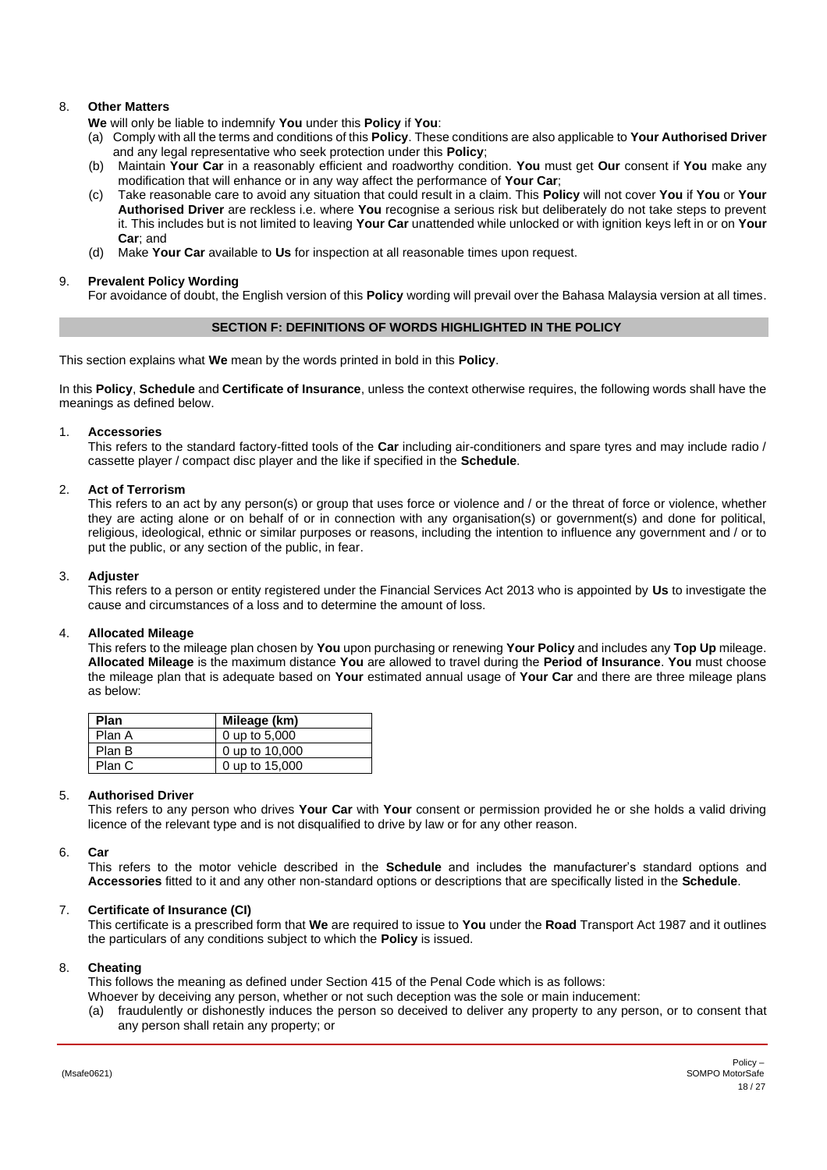# 8. **Other Matters**

**We** will only be liable to indemnify **You** under this **Policy** if **You**:

- (a) Comply with all the terms and conditions of this **Policy**. These conditions are also applicable to **Your Authorised Driver** and any legal representative who seek protection under this **Policy**;
- (b) Maintain **Your Car** in a reasonably efficient and roadworthy condition. **You** must get **Our** consent if **You** make any modification that will enhance or in any way affect the performance of **Your Car**;
- (c) Take reasonable care to avoid any situation that could result in a claim. This **Policy** will not cover **You** if **You** or **Your Authorised Driver** are reckless i.e. where **You** recognise a serious risk but deliberately do not take steps to prevent it. This includes but is not limited to leaving **Your Car** unattended while unlocked or with ignition keys left in or on **Your Car**; and
- (d) Make **Your Car** available to **Us** for inspection at all reasonable times upon request.

### 9. **Prevalent Policy Wording**

For avoidance of doubt, the English version of this **Policy** wording will prevail over the Bahasa Malaysia version at all times.

### **SECTION F: DEFINITIONS OF WORDS HIGHLIGHTED IN THE POLICY**

<span id="page-17-0"></span>This section explains what **We** mean by the words printed in bold in this **Policy**.

In this **Policy**, **Schedule** and **Certificate of Insurance**, unless the context otherwise requires, the following words shall have the meanings as defined below.

#### 1. **Accessories**

This refers to the standard factory-fitted tools of the **Car** including air-conditioners and spare tyres and may include radio / cassette player / compact disc player and the like if specified in the **Schedule**.

#### 2. **Act of Terrorism**

This refers to an act by any person(s) or group that uses force or violence and / or the threat of force or violence, whether they are acting alone or on behalf of or in connection with any organisation(s) or government(s) and done for political, religious, ideological, ethnic or similar purposes or reasons, including the intention to influence any government and / or to put the public, or any section of the public, in fear.

#### 3. **Adjuster**

This refers to a person or entity registered under the Financial Services Act 2013 who is appointed by **Us** to investigate the cause and circumstances of a loss and to determine the amount of loss.

### 4. **Allocated Mileage**

This refers to the mileage plan chosen by **You** upon purchasing or renewing **Your Policy** and includes any **Top Up** mileage. **Allocated Mileage** is the maximum distance **You** are allowed to travel during the **Period of Insurance**. **You** must choose the mileage plan that is adequate based on **Your** estimated annual usage of **Your Car** and there are three mileage plans as below:

| Plan   | Mileage (km)   |
|--------|----------------|
| Plan A | 0 up to 5,000  |
| Plan B | 0 up to 10,000 |
| Plan C | 0 up to 15,000 |

### 5. **Authorised Driver**

<span id="page-17-1"></span>This refers to any person who drives **Your Car** with **Your** consent or permission provided he or she holds a valid driving licence of the relevant type and is not disqualified to drive by law or for any other reason.

#### 6. **Car**

This refers to the motor vehicle described in the **Schedule** and includes the manufacturer's standard options and **Accessories** fitted to it and any other non-standard options or descriptions that are specifically listed in the **Schedule**.

### 7. **Certificate of Insurance (CI)**

This certificate is a prescribed form that **We** are required to issue to **You** under the **Road** Transport Act 1987 and it outlines the particulars of any conditions subject to which the **Policy** is issued.

### 8. **Cheating**

This follows the meaning as defined under Section 415 of the Penal Code which is as follows: Whoever by deceiving any person, whether or not such deception was the sole or main inducement:

(a) fraudulently or dishonestly induces the person so deceived to deliver any property to any person, or to consent that any person shall retain any property; or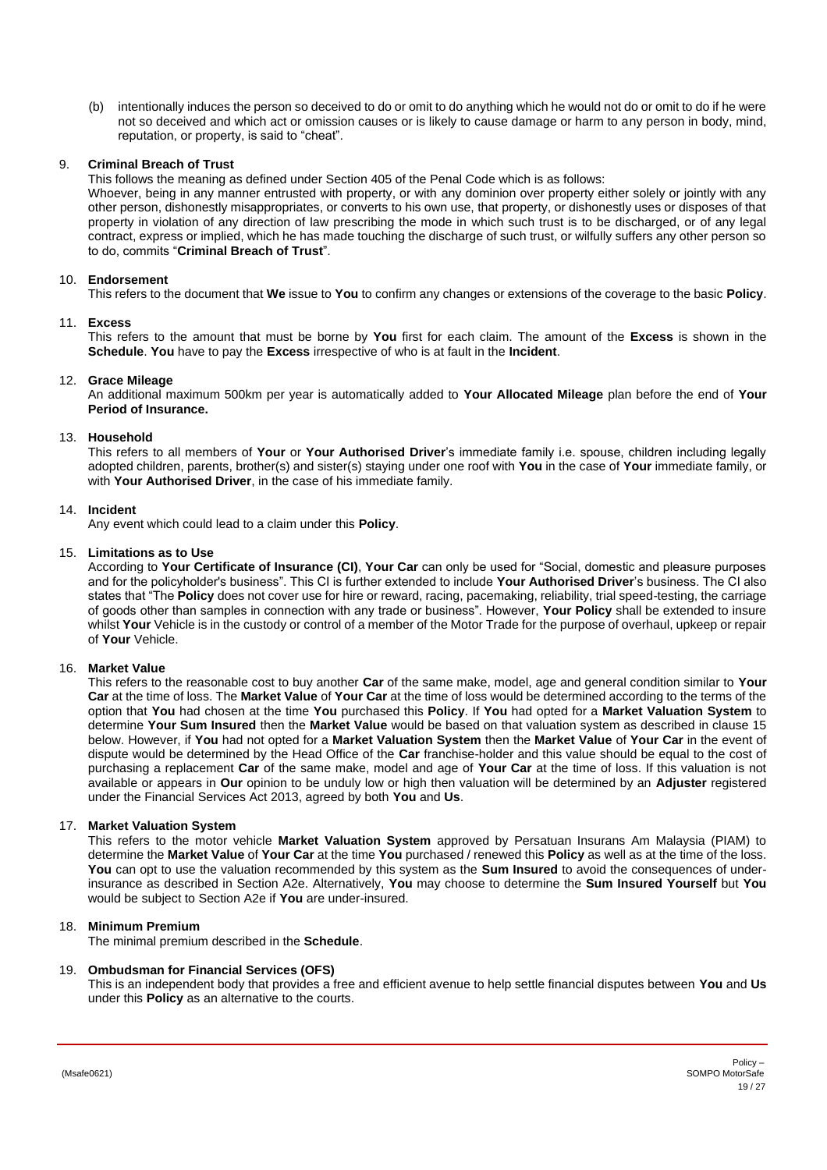(b) intentionally induces the person so deceived to do or omit to do anything which he would not do or omit to do if he were not so deceived and which act or omission causes or is likely to cause damage or harm to any person in body, mind, reputation, or property, is said to "cheat".

# 9. **Criminal Breach of Trust**

This follows the meaning as defined under Section 405 of the Penal Code which is as follows:

Whoever, being in any manner entrusted with property, or with any dominion over property either solely or jointly with any other person, dishonestly misappropriates, or converts to his own use, that property, or dishonestly uses or disposes of that property in violation of any direction of law prescribing the mode in which such trust is to be discharged, or of any legal contract, express or implied, which he has made touching the discharge of such trust, or wilfully suffers any other person so to do, commits "**Criminal Breach of Trust**".

# 10. **Endorsement**

This refers to the document that **We** issue to **You** to confirm any changes or extensions of the coverage to the basic **Policy**.

### 11. **Excess**

<span id="page-18-0"></span>This refers to the amount that must be borne by **You** first for each claim. The amount of the **Excess** is shown in the **Schedule**. **You** have to pay the **Excess** irrespective of who is at fault in the **Incident**.

### 12. **Grace Mileage**

An additional maximum 500km per year is automatically added to **Your Allocated Mileage** plan before the end of **Your Period of Insurance.**

# 13. **Household**

This refers to all members of **Your** or **Your Authorised Driver**'s immediate family i.e. spouse, children including legally adopted children, parents, brother(s) and sister(s) staying under one roof with **You** in the case of **Your** immediate family, or with **Your Authorised Driver**, in the case of his immediate family.

# 14. **Incident**

Any event which could lead to a claim under this **Policy**.

# 15. **Limitations as to Use**

According to **Your Certificate of Insurance (CI)**, **Your Car** can only be used for "Social, domestic and pleasure purposes and for the policyholder's business". This CI is further extended to include **Your Authorised Driver**'s business. The CI also states that "The **Policy** does not cover use for hire or reward, racing, pacemaking, reliability, trial speed-testing, the carriage of goods other than samples in connection with any trade or business". However, **Your Policy** shall be extended to insure whilst **Your** Vehicle is in the custody or control of a member of the Motor Trade for the purpose of overhaul, upkeep or repair of **Your** Vehicle.

# 16. **Market Value**

<span id="page-18-1"></span>This refers to the reasonable cost to buy another **Car** of the same make, model, age and general condition similar to **Your Car** at the time of loss. The **Market Value** of **Your Car** at the time of loss would be determined according to the terms of the option that **You** had chosen at the time **You** purchased this **Policy**. If **You** had opted for a **Market Valuation System** to determine **Your Sum Insured** then the **Market Value** would be based on that valuation system as described in clause 15 below. However, if **You** had not opted for a **Market Valuation System** then the **Market Value** of **Your Car** in the event of dispute would be determined by the Head Office of the **Car** franchise-holder and this value should be equal to the cost of purchasing a replacement **Car** of the same make, model and age of **Your Car** at the time of loss. If this valuation is not available or appears in **Our** opinion to be unduly low or high then valuation will be determined by an **Adjuster** registered under the Financial Services Act 2013, agreed by both **You** and **Us**.

### 17. **Market Valuation System**

This refers to the motor vehicle **Market Valuation System** approved by Persatuan Insurans Am Malaysia (PIAM) to determine the **Market Value** of **Your Car** at the time **You** purchased / renewed this **Policy** as well as at the time of the loss. **You** can opt to use the valuation recommended by this system as the **Sum Insured** to avoid the consequences of underinsurance as described in Section A2e. Alternatively, **You** may choose to determine the **Sum Insured Yourself** but **You** would be subject to Section A2e if **You** are under-insured.

# 18. **Minimum Premium**

The minimal premium described in the **Schedule**.

### 19. **Ombudsman for Financial Services (OFS)**

This is an independent body that provides a free and efficient avenue to help settle financial disputes between **You** and **Us** under this **Policy** as an alternative to the courts.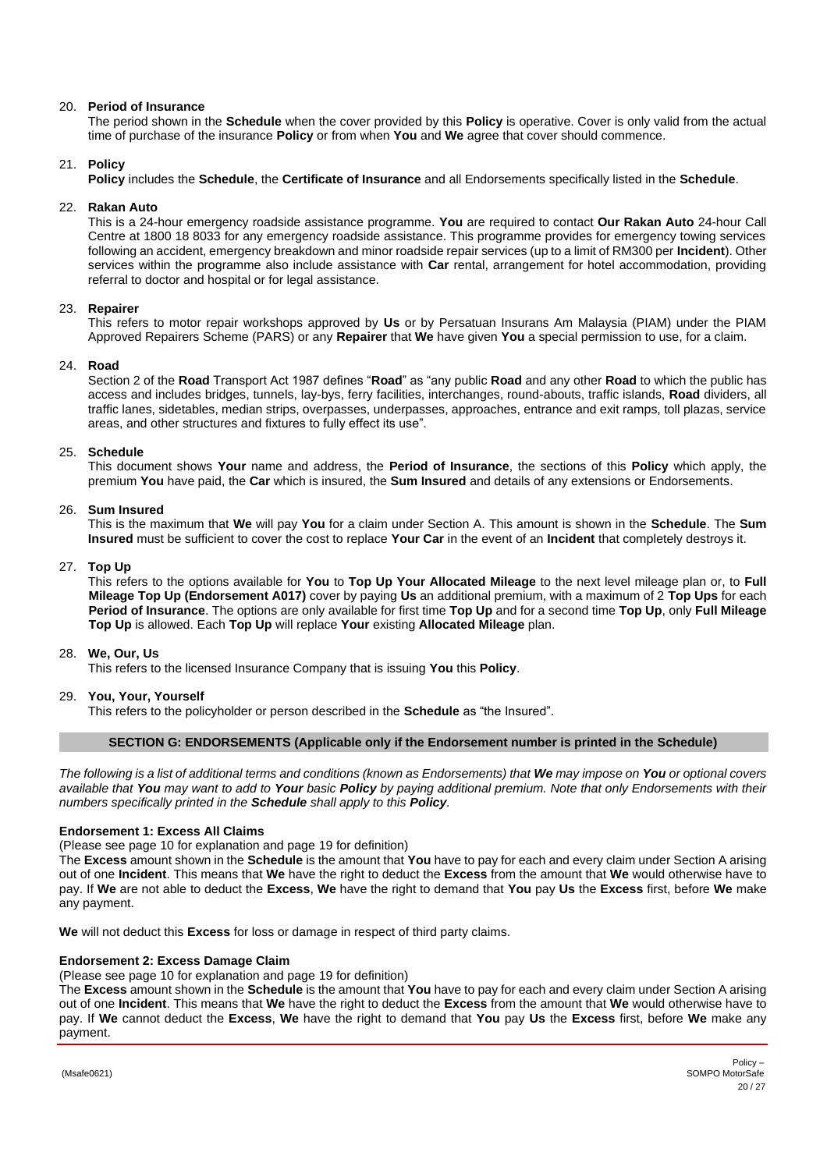# 20. **Period of Insurance**

The period shown in the **Schedule** when the cover provided by this **Policy** is operative. Cover is only valid from the actual time of purchase of the insurance **Policy** or from when **You** and **We** agree that cover should commence.

# 21. **Policy**

**Policy** includes the **Schedule**, the **Certificate of Insurance** and all Endorsements specifically listed in the **Schedule**.

# 22. **Rakan Auto**

This is a 24-hour emergency roadside assistance programme. **You** are required to contact **Our Rakan Auto** 24-hour Call Centre at 1800 18 8033 for any emergency roadside assistance. This programme provides for emergency towing services following an accident, emergency breakdown and minor roadside repair services (up to a limit of RM300 per **Incident**). Other services within the programme also include assistance with **Car** rental, arrangement for hotel accommodation, providing referral to doctor and hospital or for legal assistance.

# 23. **Repairer**

This refers to motor repair workshops approved by **Us** or by Persatuan Insurans Am Malaysia (PIAM) under the PIAM Approved Repairers Scheme (PARS) or any **Repairer** that **We** have given **You** a special permission to use, for a claim.

# 24. **Road**

Section 2 of the **Road** Transport Act 1987 defines "**Road**" as "any public **Road** and any other **Road** to which the public has access and includes bridges, tunnels, lay-bys, ferry facilities, interchanges, round-abouts, traffic islands, **Road** dividers, all traffic lanes, sidetables, median strips, overpasses, underpasses, approaches, entrance and exit ramps, toll plazas, service areas, and other structures and fixtures to fully effect its use".

### 25. **Schedule**

This document shows **Your** name and address, the **Period of Insurance**, the sections of this **Policy** which apply, the premium **You** have paid, the **Car** which is insured, the **Sum Insured** and details of any extensions or Endorsements.

### 26. **Sum Insured**

This is the maximum that **We** will pay **You** for a claim under Section A. This amount is shown in the **Schedule**. The **Sum Insured** must be sufficient to cover the cost to replace **Your Car** in the event of an **Incident** that completely destroys it.

# 27. **Top Up**

This refers to the options available for **You** to **Top Up Your Allocated Mileage** to the next level mileage plan or, to **Full Mileage Top Up (Endorsement A017)** cover by paying **Us** an additional premium, with a maximum of 2 **Top Ups** for each **Period of Insurance**. The options are only available for first time **Top Up** and for a second time **Top Up**, only **Full Mileage Top Up** is allowed. Each **Top Up** will replace **Your** existing **Allocated Mileage** plan.

### 28. **We, Our, Us**

This refers to the licensed Insurance Company that is issuing **You** this **Policy**.

### 29. **You, Your, Yourself**

<span id="page-19-1"></span>This refers to the policyholder or person described in the **Schedule** as "the Insured".

### **SECTION G: ENDORSEMENTS (Applicable only if the Endorsement number is printed in the Schedule)**

<span id="page-19-0"></span>*The following is a list of additional terms and conditions (known as Endorsements) that We may impose on You or optional covers available that You may want to add to Your basic Policy by paying additional premium. Note that only Endorsements with their numbers specifically printed in the Schedule shall apply to this Policy.*

### **Endorsement 1: Excess All Claims**

(Please see page [10](#page-9-1) for explanation and page [19](#page-18-0) for definition)

The **Excess** amount shown in the **Schedule** is the amount that **You** have to pay for each and every claim under Section A arising out of one **Incident**. This means that **We** have the right to deduct the **Excess** from the amount that **We** would otherwise have to pay. If **We** are not able to deduct the **Excess**, **We** have the right to demand that **You** pay **Us** the **Excess** first, before **We** make any payment.

**We** will not deduct this **Excess** for loss or damage in respect of third party claims.

# **Endorsement 2: Excess Damage Claim**

(Please see page [10](#page-9-1) for explanation and page [19](#page-18-0) for definition)

The **Excess** amount shown in the **Schedule** is the amount that **You** have to pay for each and every claim under Section A arising out of one **Incident**. This means that **We** have the right to deduct the **Excess** from the amount that **We** would otherwise have to pay. If **We** cannot deduct the **Excess**, **We** have the right to demand that **You** pay **Us** the **Excess** first, before **We** make any payment.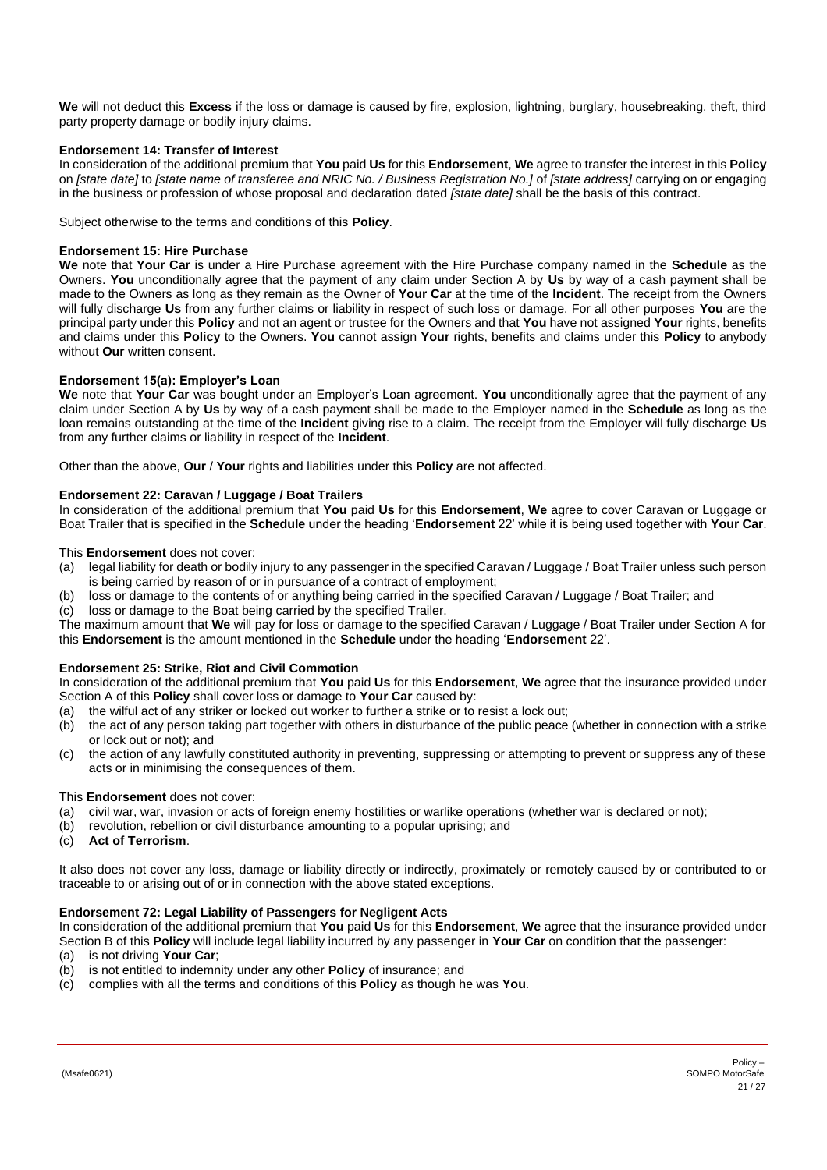**We** will not deduct this **Excess** if the loss or damage is caused by fire, explosion, lightning, burglary, housebreaking, theft, third party property damage or bodily injury claims.

# **Endorsement 14: Transfer of Interest**

In consideration of the additional premium that **You** paid **Us** for this **Endorsement**, **We** agree to transfer the interest in this **Policy** on *[state date]* to *[state name of transferee and NRIC No. / Business Registration No.]* of *[state address]* carrying on or engaging in the business or profession of whose proposal and declaration dated *[state date]* shall be the basis of this contract.

Subject otherwise to the terms and conditions of this **Policy**.

# **Endorsement 15: Hire Purchase**

**We** note that **Your Car** is under a Hire Purchase agreement with the Hire Purchase company named in the **Schedule** as the Owners. **You** unconditionally agree that the payment of any claim under Section A by **Us** by way of a cash payment shall be made to the Owners as long as they remain as the Owner of **Your Car** at the time of the **Incident**. The receipt from the Owners will fully discharge **Us** from any further claims or liability in respect of such loss or damage. For all other purposes **You** are the principal party under this **Policy** and not an agent or trustee for the Owners and that **You** have not assigned **Your** rights, benefits and claims under this **Policy** to the Owners. **You** cannot assign **Your** rights, benefits and claims under this **Policy** to anybody without **Our** written consent.

### **Endorsement 15(a): Employer's Loan**

**We** note that **Your Car** was bought under an Employer's Loan agreement. **You** unconditionally agree that the payment of any claim under Section A by **Us** by way of a cash payment shall be made to the Employer named in the **Schedule** as long as the loan remains outstanding at the time of the **Incident** giving rise to a claim. The receipt from the Employer will fully discharge **Us** from any further claims or liability in respect of the **Incident**.

Other than the above, **Our** / **Your** rights and liabilities under this **Policy** are not affected.

# **Endorsement 22: Caravan / Luggage / Boat Trailers**

In consideration of the additional premium that **You** paid **Us** for this **Endorsement**, **We** agree to cover Caravan or Luggage or Boat Trailer that is specified in the **Schedule** under the heading '**Endorsement** 22' while it is being used together with **Your Car**.

### This **Endorsement** does not cover:

- (a) legal liability for death or bodily injury to any passenger in the specified Caravan / Luggage / Boat Trailer unless such person is being carried by reason of or in pursuance of a contract of employment;
- (b) loss or damage to the contents of or anything being carried in the specified Caravan / Luggage / Boat Trailer; and
- (c) loss or damage to the Boat being carried by the specified Trailer.

The maximum amount that **We** will pay for loss or damage to the specified Caravan / Luggage / Boat Trailer under Section A for this **Endorsement** is the amount mentioned in the **Schedule** under the heading '**Endorsement** 22'.

# <span id="page-20-0"></span>**Endorsement 25: Strike, Riot and Civil Commotion**

In consideration of the additional premium that **You** paid **Us** for this **Endorsement**, **We** agree that the insurance provided under Section A of this **Policy** shall cover loss or damage to **Your Car** caused by:

- 
- (a) the wilful act of any striker or locked out worker to further a strike or to resist a lock out;<br>(b) the act of any person taking part together with others in disturbance of the public peace the act of any person taking part together with others in disturbance of the public peace (whether in connection with a strike or lock out or not); and
- (c) the action of any lawfully constituted authority in preventing, suppressing or attempting to prevent or suppress any of these acts or in minimising the consequences of them.

### This **Endorsement** does not cover:

- (a) civil war, war, invasion or acts of foreign enemy hostilities or warlike operations (whether war is declared or not);
- (b) revolution, rebellion or civil disturbance amounting to a popular uprising; and
- (c) **Act of Terrorism**.

It also does not cover any loss, damage or liability directly or indirectly, proximately or remotely caused by or contributed to or traceable to or arising out of or in connection with the above stated exceptions.

# **Endorsement 72: Legal Liability of Passengers for Negligent Acts**

In consideration of the additional premium that **You** paid **Us** for this **Endorsement**, **We** agree that the insurance provided under Section B of this **Policy** will include legal liability incurred by any passenger in **Your Car** on condition that the passenger:

- (a) is not driving **Your Car**;
- (b) is not entitled to indemnity under any other **Policy** of insurance; and
- (c) complies with all the terms and conditions of this **Policy** as though he was **You**.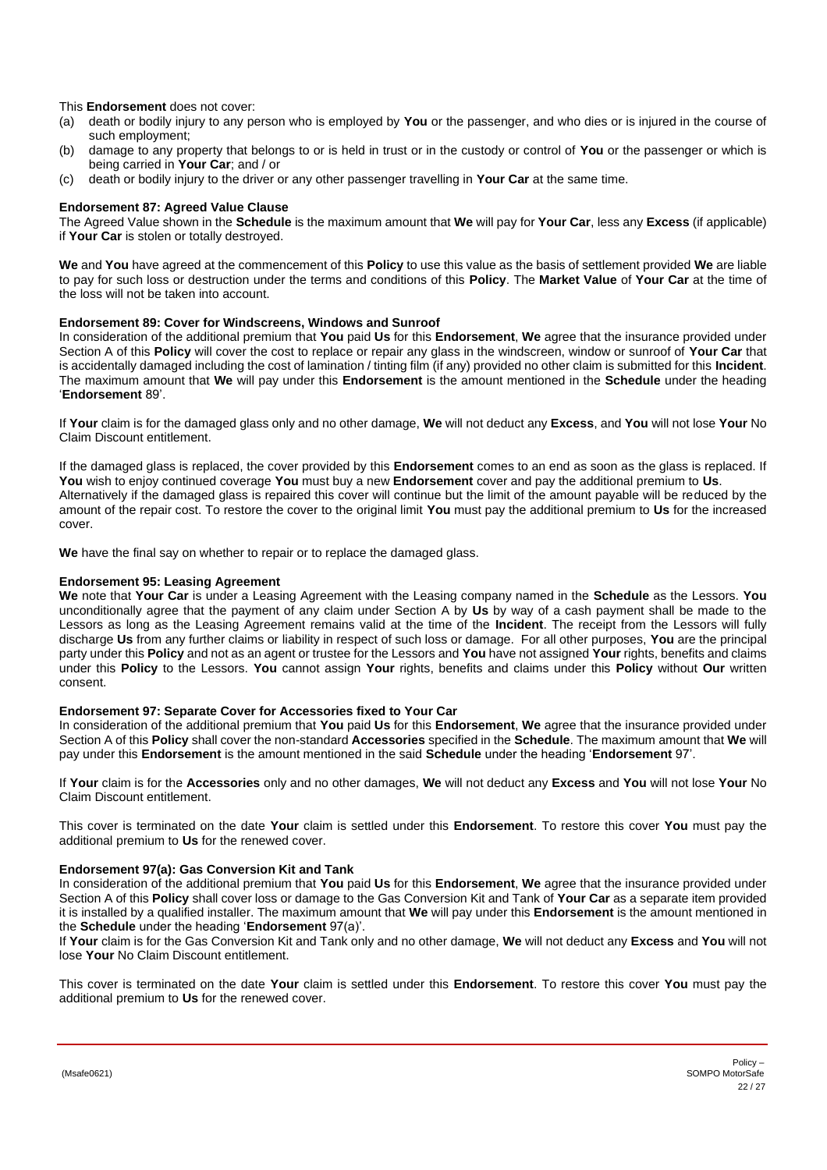This **Endorsement** does not cover:

- (a) death or bodily injury to any person who is employed by **You** or the passenger, and who dies or is injured in the course of such employment;
- (b) damage to any property that belongs to or is held in trust or in the custody or control of **You** or the passenger or which is being carried in **Your Car**; and / or
- (c) death or bodily injury to the driver or any other passenger travelling in **Your Car** at the same time.

# **Endorsement 87: Agreed Value Clause**

The Agreed Value shown in the **Schedule** is the maximum amount that **We** will pay for **Your Car**, less any **Excess** (if applicable) if **Your Car** is stolen or totally destroyed.

**We** and **You** have agreed at the commencement of this **Policy** to use this value as the basis of settlement provided **We** are liable to pay for such loss or destruction under the terms and conditions of this **Policy**. The **Market Value** of **Your Car** at the time of the loss will not be taken into account.

### <span id="page-21-0"></span>**Endorsement 89: Cover for Windscreens, Windows and Sunroof**

In consideration of the additional premium that **You** paid **Us** for this **Endorsement**, **We** agree that the insurance provided under Section A of this **Policy** will cover the cost to replace or repair any glass in the windscreen, window or sunroof of **Your Car** that is accidentally damaged including the cost of lamination / tinting film (if any) provided no other claim is submitted for this **Incident**. The maximum amount that **We** will pay under this **Endorsement** is the amount mentioned in the **Schedule** under the heading '**Endorsement** 89'.

If **Your** claim is for the damaged glass only and no other damage, **We** will not deduct any **Excess**, and **You** will not lose **Your** No Claim Discount entitlement.

If the damaged glass is replaced, the cover provided by this **Endorsement** comes to an end as soon as the glass is replaced. If **You** wish to enjoy continued coverage **You** must buy a new **Endorsement** cover and pay the additional premium to **Us**. Alternatively if the damaged glass is repaired this cover will continue but the limit of the amount payable will be reduced by the amount of the repair cost. To restore the cover to the original limit **You** must pay the additional premium to **Us** for the increased cover.

**We** have the final say on whether to repair or to replace the damaged glass.

# **Endorsement 95: Leasing Agreement**

**We** note that **Your Car** is under a Leasing Agreement with the Leasing company named in the **Schedule** as the Lessors. **You** unconditionally agree that the payment of any claim under Section A by **Us** by way of a cash payment shall be made to the Lessors as long as the Leasing Agreement remains valid at the time of the **Incident**. The receipt from the Lessors will fully discharge **Us** from any further claims or liability in respect of such loss or damage. For all other purposes, **You** are the principal party under this **Policy** and not as an agent or trustee for the Lessors and **You** have not assigned **Your** rights, benefits and claims under this **Policy** to the Lessors. **You** cannot assign **Your** rights, benefits and claims under this **Policy** without **Our** written consent.

### **Endorsement 97: Separate Cover for Accessories fixed to Your Car**

In consideration of the additional premium that **You** paid **Us** for this **Endorsement**, **We** agree that the insurance provided under Section A of this **Policy** shall cover the non-standard **Accessories** specified in the **Schedule**. The maximum amount that **We** will pay under this **Endorsement** is the amount mentioned in the said **Schedule** under the heading '**Endorsement** 97'.

If **Your** claim is for the **Accessories** only and no other damages, **We** will not deduct any **Excess** and **You** will not lose **Your** No Claim Discount entitlement.

This cover is terminated on the date **Your** claim is settled under this **Endorsement**. To restore this cover **You** must pay the additional premium to **Us** for the renewed cover.

### **Endorsement 97(a): Gas Conversion Kit and Tank**

In consideration of the additional premium that **You** paid **Us** for this **Endorsement**, **We** agree that the insurance provided under Section A of this **Policy** shall cover loss or damage to the Gas Conversion Kit and Tank of **Your Car** as a separate item provided it is installed by a qualified installer. The maximum amount that **We** will pay under this **Endorsement** is the amount mentioned in the **Schedule** under the heading '**Endorsement** 97(a)'.

If **Your** claim is for the Gas Conversion Kit and Tank only and no other damage, **We** will not deduct any **Excess** and **You** will not lose **Your** No Claim Discount entitlement.

This cover is terminated on the date **Your** claim is settled under this **Endorsement**. To restore this cover **You** must pay the additional premium to **Us** for the renewed cover.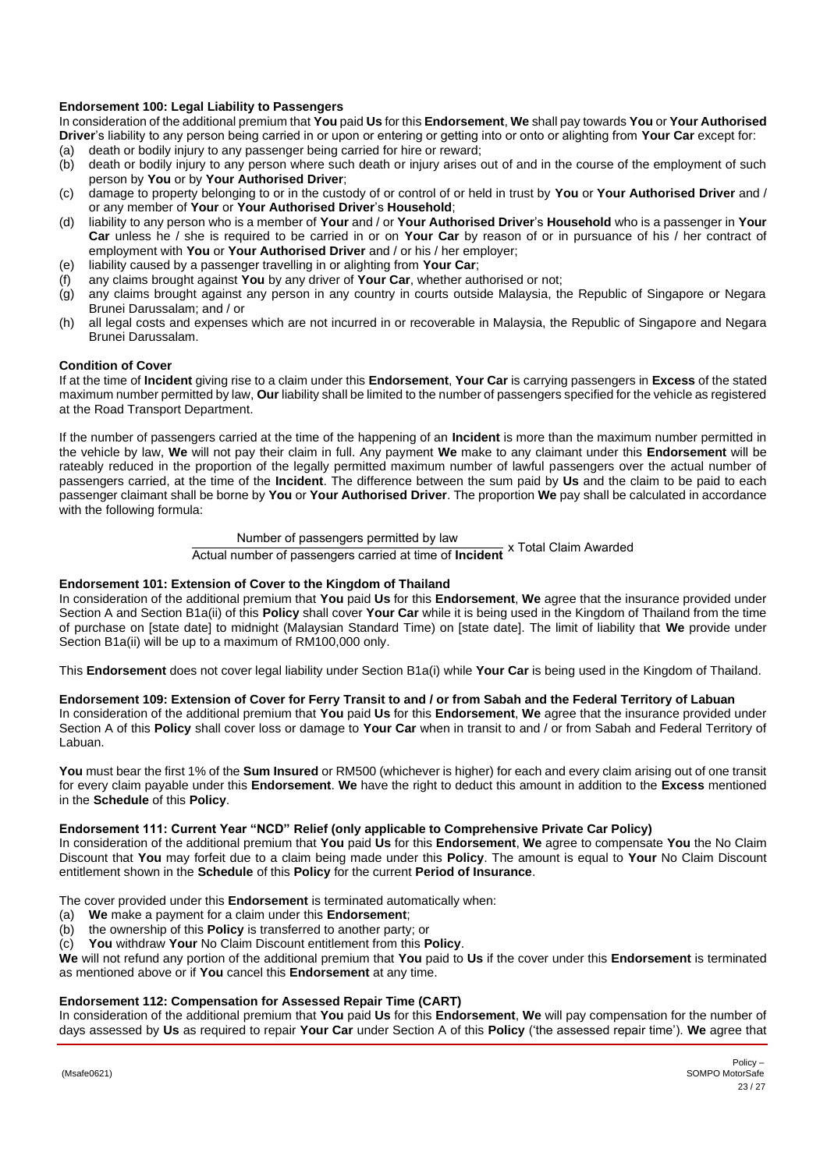# <span id="page-22-0"></span>**Endorsement 100: Legal Liability to Passengers**

In consideration of the additional premium that **You** paid **Us** for this **Endorsement**, **We** shall pay towards **You** or **Your Authorised Driver**'s liability to any person being carried in or upon or entering or getting into or onto or alighting from **Your Car** except for:

- (a) death or bodily injury to any passenger being carried for hire or reward;<br>(b) death or bodily injury to any person where such death or injury arises of
- death or bodily injury to any person where such death or injury arises out of and in the course of the employment of such person by **You** or by **Your Authorised Driver**;
- (c) damage to property belonging to or in the custody of or control of or held in trust by **You** or **Your Authorised Driver** and / or any member of **Your** or **Your Authorised Driver**'s **Household**;
- (d) liability to any person who is a member of **Your** and / or **Your Authorised Driver**'s **Household** who is a passenger in **Your Car** unless he / she is required to be carried in or on **Your Car** by reason of or in pursuance of his / her contract of employment with **You** or **Your Authorised Driver** and / or his / her employer;
- (e) liability caused by a passenger travelling in or alighting from **Your Car**;
- (f) any claims brought against **You** by any driver of **Your Car**, whether authorised or not;
- (g) any claims brought against any person in any country in courts outside Malaysia, the Republic of Singapore or Negara Brunei Darussalam; and / or
- (h) all legal costs and expenses which are not incurred in or recoverable in Malaysia, the Republic of Singapore and Negara Brunei Darussalam.

### **Condition of Cover**

If at the time of **Incident** giving rise to a claim under this **Endorsement**, **Your Car** is carrying passengers in **Excess** of the stated maximum number permitted by law, **Our** liability shall be limited to the number of passengers specified for the vehicle as registered at the Road Transport Department.

If the number of passengers carried at the time of the happening of an **Incident** is more than the maximum number permitted in the vehicle by law, **We** will not pay their claim in full. Any payment **We** make to any claimant under this **Endorsement** will be rateably reduced in the proportion of the legally permitted maximum number of lawful passengers over the actual number of passengers carried, at the time of the **Incident**. The difference between the sum paid by **Us** and the claim to be paid to each passenger claimant shall be borne by **You** or **Your Authorised Driver**. The proportion **We** pay shall be calculated in accordance with the following formula:

# Number of passengers permitted by law

Actual number of passengers carried at time of **Incident** x Total Claim Awarded

### **Endorsement 101: Extension of Cover to the Kingdom of Thailand**

In consideration of the additional premium that **You** paid **Us** for this **Endorsement**, **We** agree that the insurance provided under Section A and Section B1a(ii) of this **Policy** shall cover **Your Car** while it is being used in the Kingdom of Thailand from the time of purchase on [state date] to midnight (Malaysian Standard Time) on [state date]. The limit of liability that **We** provide under Section B1a(ii) will be up to a maximum of RM100,000 only.

This **Endorsement** does not cover legal liability under Section B1a(i) while **Your Car** is being used in the Kingdom of Thailand.

### **Endorsement 109: Extension of Cover for Ferry Transit to and / or from Sabah and the Federal Territory of Labuan**

In consideration of the additional premium that **You** paid **Us** for this **Endorsement**, **We** agree that the insurance provided under Section A of this **Policy** shall cover loss or damage to **Your Car** when in transit to and / or from Sabah and Federal Territory of Labuan.

**You** must bear the first 1% of the **Sum Insured** or RM500 (whichever is higher) for each and every claim arising out of one transit for every claim payable under this **Endorsement**. **We** have the right to deduct this amount in addition to the **Excess** mentioned in the **Schedule** of this **Policy**.

### **Endorsement 111: Current Year "NCD" Relief (only applicable to Comprehensive Private Car Policy)**

In consideration of the additional premium that **You** paid **Us** for this **Endorsement**, **We** agree to compensate **You** the No Claim Discount that **You** may forfeit due to a claim being made under this **Policy**. The amount is equal to **Your** No Claim Discount entitlement shown in the **Schedule** of this **Policy** for the current **Period of Insurance**.

The cover provided under this **Endorsement** is terminated automatically when:

- (a) **We** make a payment for a claim under this **Endorsement**;
- (b) the ownership of this **Policy** is transferred to another party; or

(c) **You** withdraw **Your** No Claim Discount entitlement from this **Policy**.

**We** will not refund any portion of the additional premium that **You** paid to **Us** if the cover under this **Endorsement** is terminated as mentioned above or if **You** cancel this **Endorsement** at any time.

### **Endorsement 112: Compensation for Assessed Repair Time (CART)**

In consideration of the additional premium that **You** paid **Us** for this **Endorsement**, **We** will pay compensation for the number of days assessed by **Us** as required to repair **Your Car** under Section A of this **Policy** ('the assessed repair time'). **We** agree that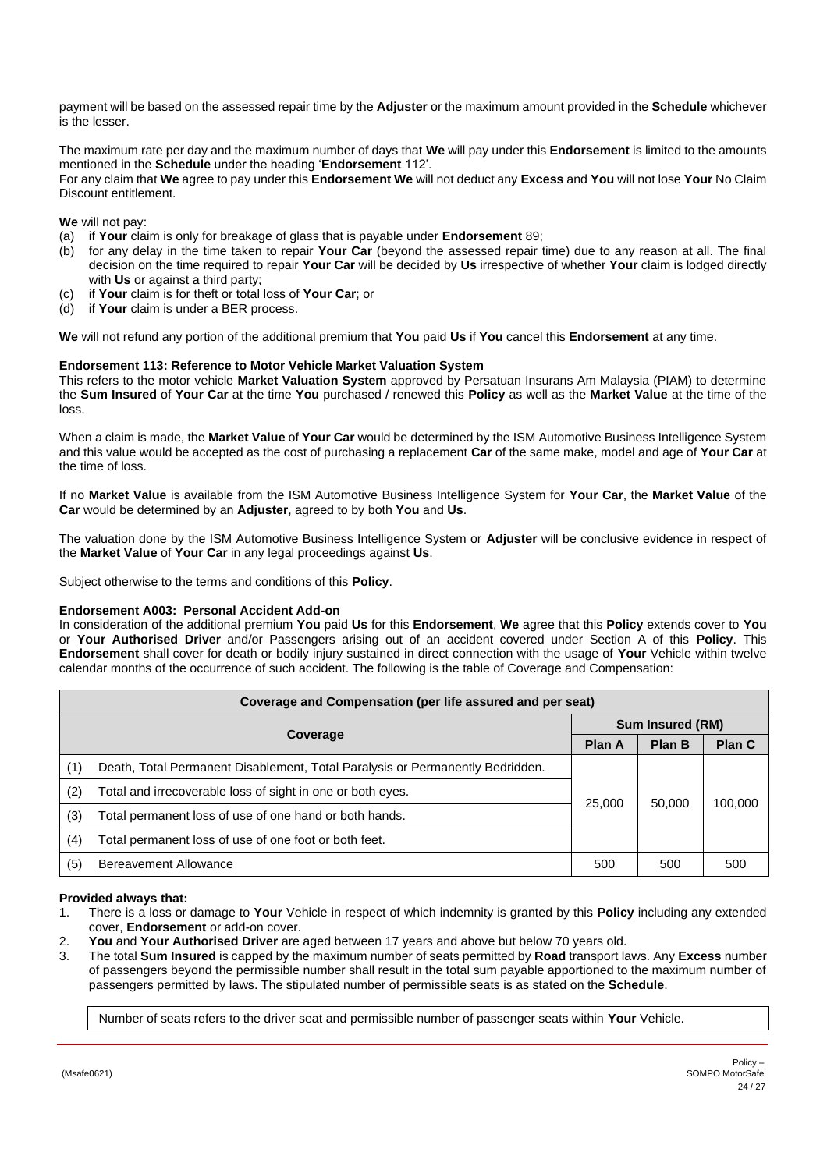payment will be based on the assessed repair time by the **Adjuster** or the maximum amount provided in the **Schedule** whichever is the lesser.

The maximum rate per day and the maximum number of days that **We** will pay under this **Endorsement** is limited to the amounts mentioned in the **Schedule** under the heading '**Endorsement** 112'.

For any claim that **We** agree to pay under this **Endorsement We** will not deduct any **Excess** and **You** will not lose **Your** No Claim Discount entitlement.

**We** will not pay:

- (a) if **Your** claim is only for breakage of glass that is payable under **Endorsement** 89;
- (b) for any delay in the time taken to repair **Your Car** (beyond the assessed repair time) due to any reason at all. The final decision on the time required to repair **Your Car** will be decided by **Us** irrespective of whether **Your** claim is lodged directly with **Us** or against a third party;
- (c) if **Your** claim is for theft or total loss of **Your Car**; or
- (d) if **Your** claim is under a BER process.

**We** will not refund any portion of the additional premium that **You** paid **Us** if **You** cancel this **Endorsement** at any time.

# **Endorsement 113: Reference to Motor Vehicle Market Valuation System**

This refers to the motor vehicle **Market Valuation System** approved by Persatuan Insurans Am Malaysia (PIAM) to determine the **Sum Insured** of **Your Car** at the time **You** purchased / renewed this **Policy** as well as the **Market Value** at the time of the loss.

When a claim is made, the **Market Value** of **Your Car** would be determined by the ISM Automotive Business Intelligence System and this value would be accepted as the cost of purchasing a replacement **Car** of the same make, model and age of **Your Car** at the time of loss.

If no **Market Value** is available from the ISM Automotive Business Intelligence System for **Your Car**, the **Market Value** of the **Car** would be determined by an **Adjuster**, agreed to by both **You** and **Us**.

The valuation done by the ISM Automotive Business Intelligence System or **Adjuster** will be conclusive evidence in respect of the **Market Value** of **Your Car** in any legal proceedings against **Us**.

Subject otherwise to the terms and conditions of this **Policy**.

### **Endorsement A003: Personal Accident Add-on**

In consideration of the additional premium **You** paid **Us** for this **Endorsement**, **We** agree that this **Policy** extends cover to **You** or **Your Authorised Driver** and/or Passengers arising out of an accident covered under Section A of this **Policy**. This **Endorsement** shall cover for death or bodily injury sustained in direct connection with the usage of **Your** Vehicle within twelve calendar months of the occurrence of such accident. The following is the table of Coverage and Compensation:

| Coverage and Compensation (per life assured and per seat) |                                                                               |                  |        |         |
|-----------------------------------------------------------|-------------------------------------------------------------------------------|------------------|--------|---------|
| Coverage                                                  |                                                                               | Sum Insured (RM) |        |         |
|                                                           |                                                                               | Plan A           | Plan B | Plan C  |
| (1)                                                       | Death, Total Permanent Disablement, Total Paralysis or Permanently Bedridden. |                  | 50,000 | 100,000 |
| (2)                                                       | Total and irrecoverable loss of sight in one or both eyes.                    |                  |        |         |
| (3)                                                       | Total permanent loss of use of one hand or both hands.                        | 25,000           |        |         |
| (4)                                                       | Total permanent loss of use of one foot or both feet.                         |                  |        |         |
| (5)                                                       | Bereavement Allowance                                                         | 500              | 500    | 500     |

### **Provided always that:**

- 1. There is a loss or damage to **Your** Vehicle in respect of which indemnity is granted by this **Policy** including any extended cover, **Endorsement** or add-on cover.
- 2. **You** and **Your Authorised Driver** are aged between 17 years and above but below 70 years old.
- 3. The total **Sum Insured** is capped by the maximum number of seats permitted by **Road** transport laws. Any **Excess** number of passengers beyond the permissible number shall result in the total sum payable apportioned to the maximum number of passengers permitted by laws. The stipulated number of permissible seats is as stated on the **Schedule**.

Number of seats refers to the driver seat and permissible number of passenger seats within **Your** Vehicle.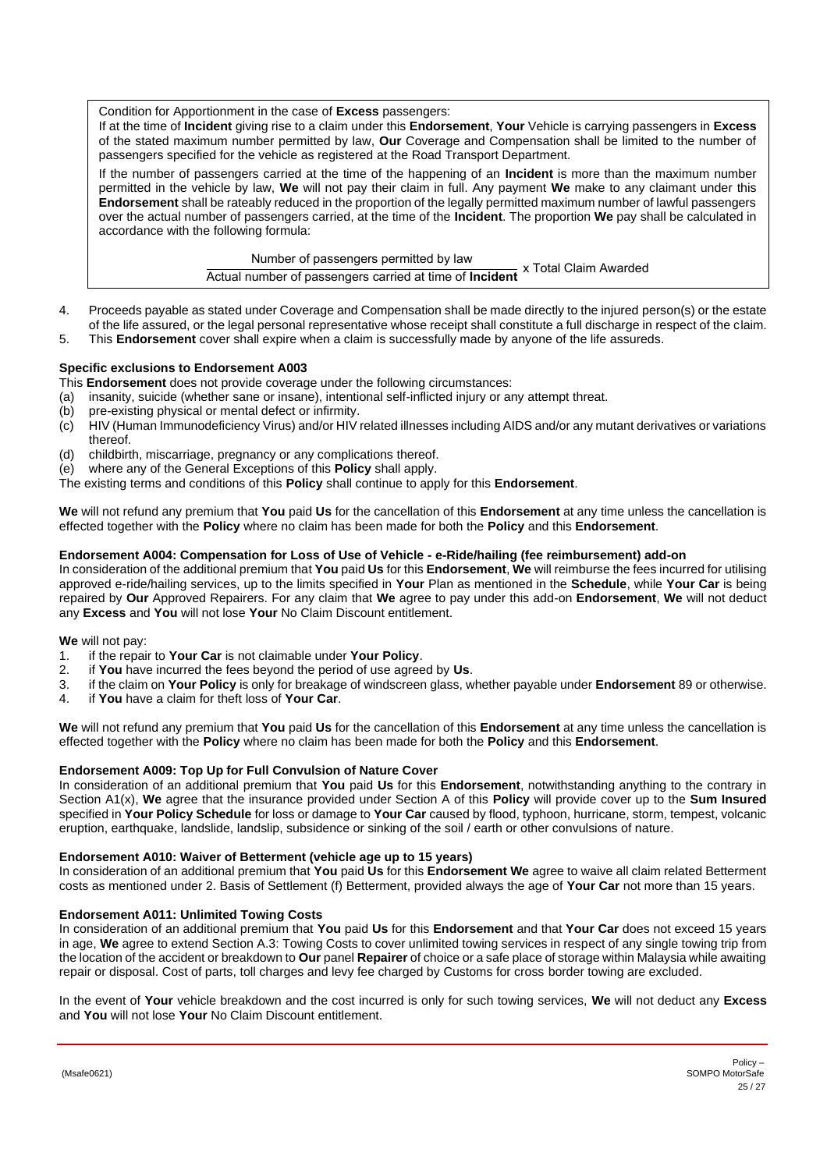Condition for Apportionment in the case of **Excess** passengers:

If at the time of **Incident** giving rise to a claim under this **Endorsement**, **Your** Vehicle is carrying passengers in **Excess** of the stated maximum number permitted by law, **Our** Coverage and Compensation shall be limited to the number of passengers specified for the vehicle as registered at the Road Transport Department.

If the number of passengers carried at the time of the happening of an **Incident** is more than the maximum number permitted in the vehicle by law, **We** will not pay their claim in full. Any payment **We** make to any claimant under this **Endorsement** shall be rateably reduced in the proportion of the legally permitted maximum number of lawful passengers over the actual number of passengers carried, at the time of the **Incident**. The proportion **We** pay shall be calculated in accordance with the following formula:

> Number of passengers permitted by law Actual number of passengers carried at time of **Incident** x Total Claim Awarded

- 4. Proceeds payable as stated under Coverage and Compensation shall be made directly to the injured person(s) or the estate of the life assured, or the legal personal representative whose receipt shall constitute a full discharge in respect of the claim.
- 5. This **Endorsement** cover shall expire when a claim is successfully made by anyone of the life assureds.

# **Specific exclusions to Endorsement A003**

- This **Endorsement** does not provide coverage under the following circumstances:
- (a) insanity, suicide (whether sane or insane), intentional self-inflicted injury or any attempt threat.
- 
- (b) pre-existing physical or mental defect or infirmity.<br>(c) HIV (Human Immunodeficiency Virus) and/or HIV i HIV (Human Immunodeficiency Virus) and/or HIV related illnesses including AIDS and/or any mutant derivatives or variations thereof.
- (d) childbirth, miscarriage, pregnancy or any complications thereof.<br>(e) where any of the General Exceptions of this **Policy** shall apply.
- where any of the General Exceptions of this **Policy** shall apply.
- The existing terms and conditions of this **Policy** shall continue to apply for this **Endorsement**.

**We** will not refund any premium that **You** paid **Us** for the cancellation of this **Endorsement** at any time unless the cancellation is effected together with the **Policy** where no claim has been made for both the **Policy** and this **Endorsement**.

# **Endorsement A004: Compensation for Loss of Use of Vehicle - e-Ride/hailing (fee reimbursement) add-on**

In consideration of the additional premium that **You** paid **Us** for this **Endorsement**, **We** will reimburse the fees incurred for utilising approved e-ride/hailing services, up to the limits specified in **Your** Plan as mentioned in the **Schedule**, while **Your Car** is being repaired by **Our** Approved Repairers. For any claim that **We** agree to pay under this add-on **Endorsement**, **We** will not deduct any **Excess** and **You** will not lose **Your** No Claim Discount entitlement.

**We** will not pay:

- 1. if the repair to **Your Car** is not claimable under **Your Policy**.
- 2. if **You** have incurred the fees beyond the period of use agreed by **Us**.
- 3. if the claim on **Your Policy** is only for breakage of windscreen glass, whether payable under **Endorsement** 89 or otherwise.
- 4. if **You** have a claim for theft loss of **Your Car**.

**We** will not refund any premium that **You** paid **Us** for the cancellation of this **Endorsement** at any time unless the cancellation is effected together with the **Policy** where no claim has been made for both the **Policy** and this **Endorsement**.

### <span id="page-24-0"></span>**Endorsement A009: Top Up for Full Convulsion of Nature Cover**

In consideration of an additional premium that **You** paid **Us** for this **Endorsement**, notwithstanding anything to the contrary in Section A1(x), **We** agree that the insurance provided under Section A of this **Policy** will provide cover up to the **Sum Insured** specified in **Your Policy Schedule** for loss or damage to **Your Car** caused by flood, typhoon, hurricane, storm, tempest, volcanic eruption, earthquake, landslide, landslip, subsidence or sinking of the soil / earth or other convulsions of nature.

### **Endorsement A010: Waiver of Betterment (vehicle age up to 15 years)**

In consideration of an additional premium that **You** paid **Us** for this **Endorsement We** agree to waive all claim related Betterment costs as mentioned under 2. Basis of Settlement (f) Betterment, provided always the age of **Your Car** not more than 15 years.

### **Endorsement A011: Unlimited Towing Costs**

In consideration of an additional premium that **You** paid **Us** for this **Endorsement** and that **Your Car** does not exceed 15 years in age, **We** agree to extend Section A.3: Towing Costs to cover unlimited towing services in respect of any single towing trip from the location of the accident or breakdown to **Our** panel **Repairer** of choice or a safe place of storage within Malaysia while awaiting repair or disposal. Cost of parts, toll charges and levy fee charged by Customs for cross border towing are excluded.

In the event of **Your** vehicle breakdown and the cost incurred is only for such towing services, **We** will not deduct any **Excess** and **You** will not lose **Your** No Claim Discount entitlement.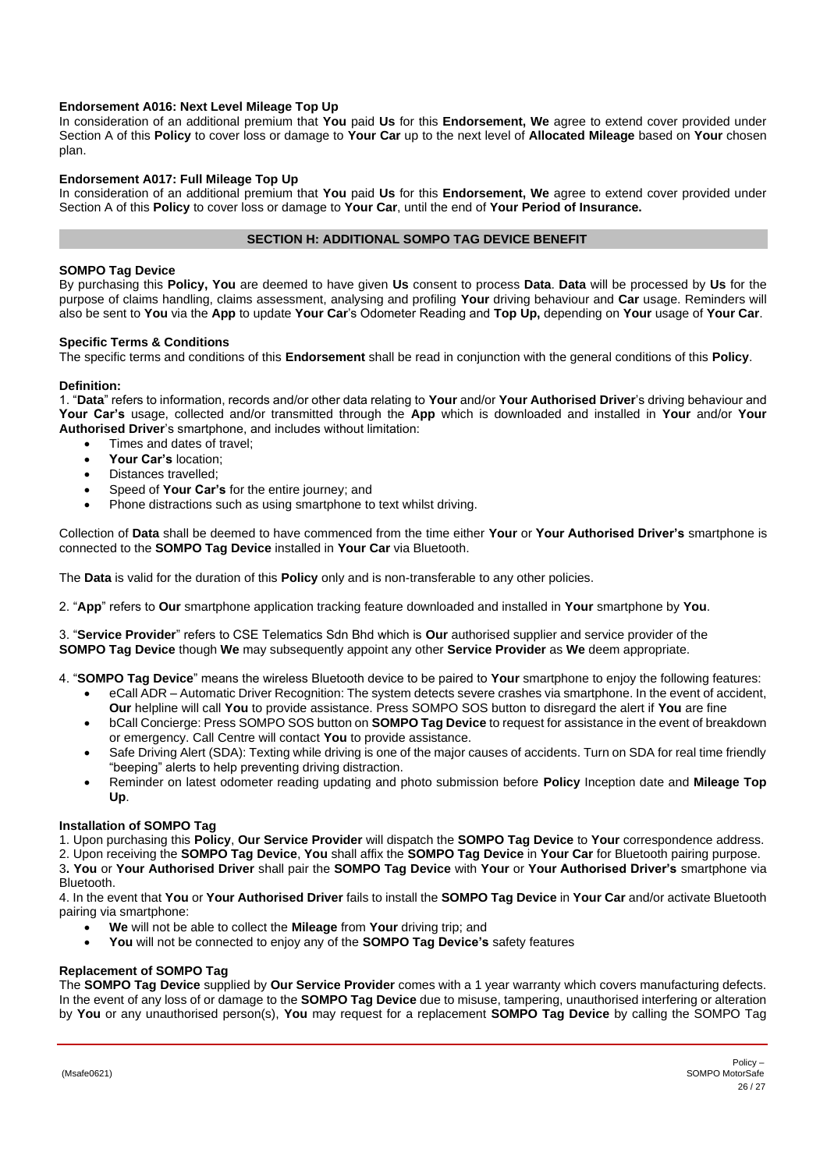# **Endorsement A016: Next Level Mileage Top Up**

In consideration of an additional premium that **You** paid **Us** for this **Endorsement, We** agree to extend cover provided under Section A of this **Policy** to cover loss or damage to **Your Car** up to the next level of **Allocated Mileage** based on **Your** chosen plan.

# **Endorsement A017: Full Mileage Top Up**

In consideration of an additional premium that **You** paid **Us** for this **Endorsement, We** agree to extend cover provided under Section A of this **Policy** to cover loss or damage to **Your Car**, until the end of **Your Period of Insurance.**

# <span id="page-25-1"></span>**SECTION H: ADDITIONAL SOMPO TAG DEVICE BENEFIT**

# <span id="page-25-0"></span>**SOMPO Tag Device**

By purchasing this **Policy, You** are deemed to have given **Us** consent to process **Data**. **Data** will be processed by **Us** for the purpose of claims handling, claims assessment, analysing and profiling **Your** driving behaviour and **Car** usage. Reminders will also be sent to **You** via the **App** to update **Your Car**'s Odometer Reading and **Top Up,** depending on **Your** usage of **Your Car**.

### **Specific Terms & Conditions**

The specific terms and conditions of this **Endorsement** shall be read in conjunction with the general conditions of this **Policy**.

# **Definition:**

1. "**Data**" refers to information, records and/or other data relating to **Your** and/or **Your Authorised Driver**'s driving behaviour and **Your Car's** usage, collected and/or transmitted through the **App** which is downloaded and installed in **Your** and/or **Your Authorised Driver**'s smartphone, and includes without limitation:

- Times and dates of travel;
- **Your Car's** location;
- Distances travelled;
- Speed of **Your Car's** for the entire journey; and
- Phone distractions such as using smartphone to text whilst driving.

Collection of **Data** shall be deemed to have commenced from the time either **Your** or **Your Authorised Driver's** smartphone is connected to the **SOMPO Tag Device** installed in **Your Car** via Bluetooth.

The **Data** is valid for the duration of this **Policy** only and is non-transferable to any other policies.

2. "**App**" refers to **Our** smartphone application tracking feature downloaded and installed in **Your** smartphone by **You**.

3. "**Service Provider**" refers to CSE Telematics Sdn Bhd which is **Our** authorised supplier and service provider of the **SOMPO Tag Device** though **We** may subsequently appoint any other **Service Provider** as **We** deem appropriate.

- 4. "**SOMPO Tag Device**" means the wireless Bluetooth device to be paired to **Your** smartphone to enjoy the following features:
	- eCall ADR Automatic Driver Recognition: The system detects severe crashes via smartphone. In the event of accident, **Our** helpline will call **You** to provide assistance. Press SOMPO SOS button to disregard the alert if **You** are fine
	- bCall Concierge: Press SOMPO SOS button on **SOMPO Tag Device** to request for assistance in the event of breakdown or emergency. Call Centre will contact **You** to provide assistance.
	- Safe Driving Alert (SDA): Texting while driving is one of the major causes of accidents. Turn on SDA for real time friendly "beeping" alerts to help preventing driving distraction.
	- Reminder on latest odometer reading updating and photo submission before **Policy** Inception date and **Mileage Top Up**.

### **Installation of SOMPO Tag**

1. Upon purchasing this **Policy**, **Our Service Provider** will dispatch the **SOMPO Tag Device** to **Your** correspondence address.

2. Upon receiving the **SOMPO Tag Device**, **You** shall affix the **SOMPO Tag Device** in **Your Car** for Bluetooth pairing purpose. 3**. You** or **Your Authorised Driver** shall pair the **SOMPO Tag Device** with **Your** or **Your Authorised Driver's** smartphone via

Bluetooth.

4. In the event that **You** or **Your Authorised Driver** fails to install the **SOMPO Tag Device** in **Your Car** and/or activate Bluetooth pairing via smartphone:

- **We** will not be able to collect the **Mileage** from **Your** driving trip; and
- **You** will not be connected to enjoy any of the **SOMPO Tag Device's** safety features

# **Replacement of SOMPO Tag**

The **SOMPO Tag Device** supplied by **Our Service Provider** comes with a 1 year warranty which covers manufacturing defects. In the event of any loss of or damage to the **SOMPO Tag Device** due to misuse, tampering, unauthorised interfering or alteration by **You** or any unauthorised person(s), **You** may request for a replacement **SOMPO Tag Device** by calling the SOMPO Tag